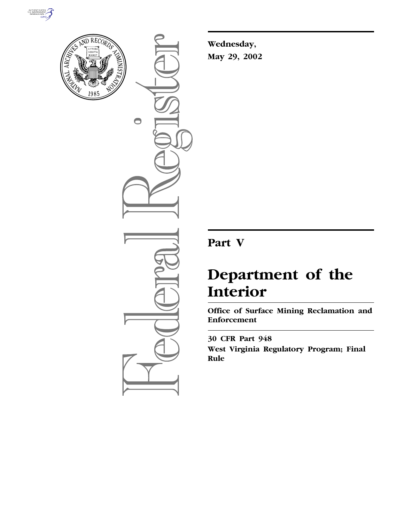



 $\bigcirc$ 

**Wednesday, May 29, 2002**

# **Part V**

# **Department of the Interior**

**Office of Surface Mining Reclamation and Enforcement** 

**30 CFR Part 948 West Virginia Regulatory Program; Final Rule**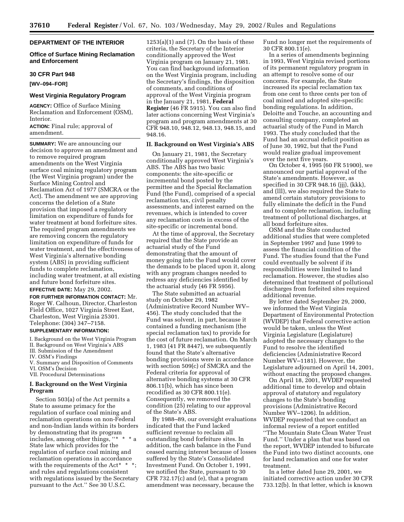# **DEPARTMENT OF THE INTERIOR**

# **Office of Surface Mining Reclamation and Enforcement**

#### **30 CFR Part 948**

**[WV–094–FOR]** 

# **West Virginia Regulatory Program**

**AGENCY:** Office of Surface Mining Reclamation and Enforcement (OSM), Interior.

**ACTION:** Final rule; approval of amendment.

**SUMMARY:** We are announcing our decision to approve an amendment and to remove required program amendments on the West Virginia surface coal mining regulatory program (the West Virginia program) under the Surface Mining Control and Reclamation Act of 1977 (SMCRA or the Act). The amendment we are approving concerns the deletion of a State provision that imposed a regulatory limitation on expenditure of funds for water treatment at bond forfeiture sites. The required program amendments we are removing concern the regulatory limitation on expenditure of funds for water treatment, and the effectiveness of West Virginia's alternative bonding system (ABS) in providing sufficient funds to complete reclamation, including water treatment, at all existing and future bond forfeiture sites. **EFFECTIVE DATE:** May 29, 2002.

**FOR FURTHER INFORMATION CONTACT:** Mr. Roger W. Calhoun, Director, Charleston Field Office, 1027 Virginia Street East, Charleston, West Virginia 25301. Telephone: (304) 347–7158.

#### **SUPPLEMENTARY INFORMATION:**

I. Background on the West Virginia Program II. Background on West Virginia's ABS III. Submission of the Amendment IV. OSM's Findings

- V. Summary and Disposition of Comments VI. OSM's Decision
- VII. Procedural Determinations

# **I. Background on the West Virginia Program**

Section 503(a) of the Act permits a State to assume primacy for the regulation of surface coal mining and reclamation operations on non-Federal and non-Indian lands within its borders by demonstrating that its program includes, among other things, ''\*  $*$   $*$  a State law which provides for the regulation of surface coal mining and reclamation operations in accordance with the requirements of the Act\* \* \*; and rules and regulations consistent with regulations issued by the Secretary pursuant to the Act.'' See 30 U.S.C.

 $1253(a)(1)$  and  $(7)$ . On the basis of these criteria, the Secretary of the Interior conditionally approved the West Virginia program on January 21, 1981. You can find background information on the West Virginia program, including the Secretary's findings, the disposition of comments, and conditions of approval of the West Virginia program in the January 21, 1981, **Federal Register** (46 FR 5915). You can also find later actions concerning West Virginia's program and program amendments at 30 CFR 948.10, 948.12, 948.13, 948.15, and 948.16.

# **II. Background on West Virginia's ABS**

On January 21, 1981, the Secretary conditionally approved West Virginia's ABS. The ABS has two basic components: the site-specific or incremental bond posted by the permittee and the Special Reclamation Fund (the Fund), comprised of a special reclamation tax, civil penalty assessments, and interest earned on the revenues, which is intended to cover any reclamation costs in excess of the site-specific or incremental bond.

At the time of approval, the Secretary required that the State provide an actuarial study of the Fund demonstrating that the amount of money going into the Fund would cover the demands to be placed upon it, along with any program changes needed to redress any deficiencies identified by the actuarial study (46 FR 5956).

The State submitted an actuarial study on October 29, 1982 (Administrative Record Number WV– 456). The study concluded that the Fund was solvent, in part, because it contained a funding mechanism (the special reclamation tax) to provide for the cost of future reclamation. On March 1, 1983 (41 FR 8447), we subsequently found that the State's alternative bonding provisions were in accordance with section 509(c) of SMCRA and the Federal criteria for approval of alternative bonding systems at 30 CFR 806.11(b), which has since been recodified as 30 CFR 800.11(e). Consequently, we removed the condition (25) relating to our approval of the State's ABS.

By 1988–89, our oversight evaluations indicated that the Fund lacked sufficient revenue to reclaim all outstanding bond forfeiture sites. In addition, the cash balance in the Fund ceased earning interest because of losses suffered by the State's Consolidated Investment Fund. On October 1, 1991, we notified the State, pursuant to 30 CFR 732.17(c) and (e), that a program amendment was necessary, because the

Fund no longer met the requirements of 30 CFR 800.11(e).

In a series of amendments beginning in 1993, West Virginia revised portions of its permanent regulatory program in an attempt to resolve some of our concerns. For example, the State increased its special reclamation tax from one cent to three cents per ton of coal mined and adopted site-specific bonding regulations. In addition, Deloitte and Touche, an accounting and consulting company, completed an actuarial study of the Fund in March 1993. The study concluded that the Fund had an accrual deficit position as of June 30, 1992, but that the Fund would realize gradual improvement over the next five years.

On October 4, 1995 (60 FR 51900), we announced our partial approval of the State's amendments. However, as specified in 30 CFR 948.16 (jjj), (kkk), and (lll), we also required the State to amend certain statutory provisions to fully eliminate the deficit in the Fund and to complete reclamation, including treatment of pollutional discharges, at all bond forfeiture sites.

OSM and the State conducted additional studies that were completed in September 1997 and June 1999 to assess the financial condition of the Fund. The studies found that the Fund could eventually be solvent if its responsibilities were limited to land reclamation. However, the studies also determined that treatment of pollutional discharges from forfeited sites required additional revenue.

By letter dated September 29, 2000, we informed the West Virginia Department of Environmental Protection (WVDEP) that Federal corrective action would be taken, unless the West Virginia Legislature (Legislature) adopted the necessary changes to the Fund to resolve the identified deficiencies (Administrative Record Number WV–1181). However, the Legislature adjourned on April 14, 2001, without enacting the proposed changes.

On April 18, 2001, WVDEP requested additional time to develop and obtain approval of statutory and regulatory changes to the State's bonding provisions (Administrative Record Number WV–1206). In addition, WVDEP requested that we conduct an informal review of a report entitled ''The Mountain State Clean Water Trust Fund.'' Under a plan that was based on the report, WVDEP intended to bifurcate the Fund into two distinct accounts, one for land reclamation and one for water treatment.

In a letter dated June 29, 2001, we initiated corrective action under 30 CFR 733.12(b). In that letter, which is known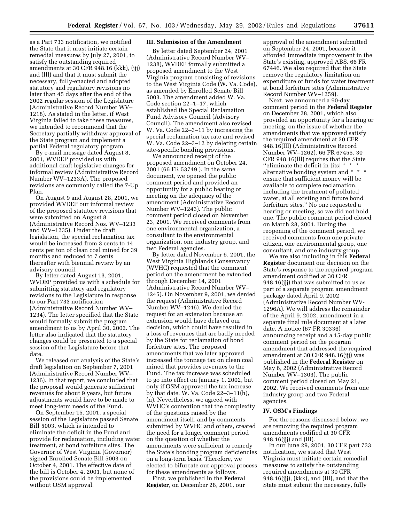as a Part 733 notification, we notified the State that it must initiate certain remedial measures by July 27, 2001, to satisfy the outstanding required amendments at 30 CFR 948.16 (kkk), (jjj) and (lll) and that it must submit the necessary, fully-enacted and adopted statutory and regulatory revisions no later than 45 days after the end of the 2002 regular session of the Legislature (Administrative Record Number WV– 1218). As stated in the letter, if West Virginia failed to take these measures, we intended to recommend that the Secretary partially withdraw approval of the State program and implement a partial Federal regulatory program.

By e-mail message dated August 8, 2001, WVDEP provided us with additional draft legislative changes for informal review (Administrative Record Number WV–1233A). The proposed revisions are commonly called the 7-Up Plan.

On August 9 and August 28, 2001, we provided WVDEP our informal review of the proposed statutory revisions that were submitted on August 8 (Administrative Record Nos. WV–1233 and WV–1235). Under the draft legislation, the special reclamation tax would be increased from 3 cents to 14 cents per ton of clean coal mined for 39 months and reduced to 7 cents thereafter with biennial review by an advisory council.

By letter dated August 13, 2001, WVDEP provided us with a schedule for submitting statutory and regulatory revisions to the Legislature in response to our Part 733 notification (Administrative Record Number WV– 1234). The letter specified that the State would formally submit the program amendment to us by April 30, 2002. The letter also indicated that the statutory changes could be presented to a special session of the Legislature before that date.

We released our analysis of the State's draft legislation on September 7, 2001 (Administrative Record Number WV– 1236). In that report, we concluded that the proposal would generate sufficient revenues for about 9 years, but future adjustments would have to be made to meet long-term needs of the Fund.

On September 15, 2001, a special session of the Legislature passed Senate Bill 5003, which is intended to eliminate the deficit in the Fund and provide for reclamation, including water treatment, at bond forfeiture sites. The Governor of West Virginia (Governor) signed Enrolled Senate Bill 5003 on October 4, 2001. The effective date of the bill is October 4, 2001, but none of the provisions could be implemented without OSM approval.

# **III. Submission of the Amendment**

By letter dated September 24, 2001 (Administrative Record Number WV– 1238), WVDEP formally submitted a proposed amendment to the West Virginia program consisting of revisions to the West Virginia Code (W. Va. Code), as amended by Enrolled Senate Bill 5003. The amendment added W. Va. Code section 22–1–17, which established the Special Reclamation Fund Advisory Council (Advisory Council). The amendment also revised W. Va. Code 22–3–11 by increasing the special reclamation tax rate and revised W. Va. Code 22–3–12 by deleting certain site-specific bonding provisions.

We announced receipt of the proposed amendment on October 24, 2001 (66 FR 53749 ). In the same document, we opened the public comment period and provided an opportunity for a public hearing or meeting on the adequacy of the amendment (Administrative Record Number WV–1243). The public comment period closed on November 23, 2001. We received comments from one environmental organization, a consultant to the environmental organization, one industry group, and two Federal agencies.

By letter dated November 6, 2001, the West Virginia Highlands Conservancy (WVHC) requested that the comment period on the amendment be extended through December 14, 2001 (Administrative Record Number WV– 1245). On November 9, 2001, we denied the request (Administrative Record Number WV–1246). We denied the request for an extension because an extension would have delayed our decision, which could have resulted in a loss of revenues that are badly needed by the State for reclamation of bond forfeiture sites. The proposed amendments that we later approved increased the tonnage tax on clean coal mined that provides revenues to the Fund. The tax increase was scheduled to go into effect on January 1, 2002, but only if OSM approved the tax increase by that date. W. Va. Code 22–3–11(h), (n). Nevertheless, we agreed with WVHC's contention that the complexity of the questions raised by the amendment itself, and by comments submitted by WVHC and others, created the need for a longer comment period on the question of whether the amendments were sufficient to remedy the State's bonding program deficiencies on a long-term basis. Therefore, we elected to bifurcate our approval process for these amendments as follows.

First, we published in the **Federal Register**, on December 28, 2001, our approval of the amendment submitted on September 24, 2001, because it afforded immediate improvement in the State's existing, approved ABS. 66 FR 67446. We also required that the State remove the regulatory limitation on expenditure of funds for water treatment at bond forfeiture sites (Administrative Record Number WV–1259).

Next, we announced a 90-day comment period in the **Federal Register** on December 28, 2001, which also provided an opportunity for a hearing or meeting, on the issue of whether the amendments that we approved satisfy the required amendment at 30 CFR 948.16(lll) (Administrative Record Number WV–1262). 66 FR 67455. 30 CFR 948.16(lll) requires that the State "eliminate the deficit in [its]  $* * *$ alternative bonding system and \* \* \* ensure that sufficient money will be available to complete reclamation, including the treatment of polluted water, at all existing and future bond forfeiture sites.'' No one requested a hearing or meeting, so we did not hold one. The public comment period closed on March 28, 2001. During the reopening of the comment period, we received comments from one private citizen, one environmental group, one consultant, and one industry group.

We are also including in this **Federal Register** document our decision on the State's response to the required program amendment codified at 30 CFR 948.16(jjj) that was submitted to us as part of a separate program amendment package dated April 9, 2002 (Administrative Record Number WV-1296A). We will address the remainder of the April 9, 2002, amendment in a separate final rule document at a later date. A notice (67 FR 30336) announcing receipt and a 15-day public comment period on the program amendment that addressed the required amendment at 30 CFR 948.16(jjj) was published in the **Federal Register** on May 6, 2002 (Administrative Record Number WV–1303). The public comment period closed on May 21, 2002. We received comments from one industry group and two Federal agencies.

#### **IV. OSM's Findings**

For the reasons discussed below, we are removing the required program amendments codified at 30 CFR 948.16(jjj) and (lll).

In our June 29, 2001, 30 CFR part 733 notification, we stated that West Virginia must initiate certain remedial measures to satisfy the outstanding required amendments at 30 CFR 948.16(jjj), (kkk), and (lll), and that the State must submit the necessary, fully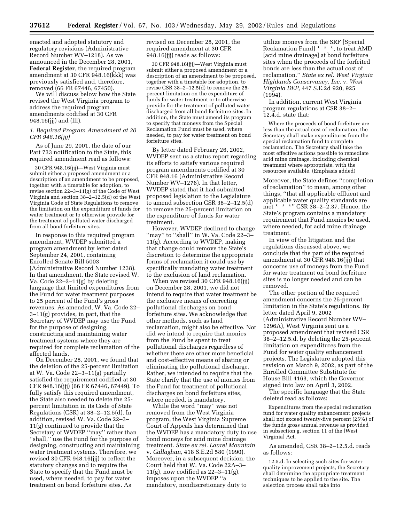enacted and adopted statutory and regulatory revisions (Administrative Record Number WV–1218). As we announced in the December 28, 2001, **Federal Register**, the required program amendment at 30 CFR 948.16(kkk) was previously satisfied and, therefore, removed (66 FR 67446, 67450).

We will discuss below how the State revised the West Virginia program to address the required program amendments codified at 30 CFR 948.16(jjj) and (lll).

# *1. Required Program Amendment at 30 CFR 948.16(jjj)*

As of June 29, 2001, the date of our Part 733 notification to the State, this required amendment read as follows:

30 CFR 948.16(jjj)—West Virginia must submit either a proposed amendment or a description of an amendment to be proposed, together with a timetable for adoption, to revise section  $22-3-11(g)$  of the Code of West Virginia and section 38–2–12.5(d) of the West Virginia Code of State Regulations to remove the limitation on the expenditure of funds for water treatment or to otherwise provide for the treatment of polluted water discharged from all bond forfeiture sites.

In response to this required program amendment, WVDEP submitted a program amendment by letter dated September 24, 2001, containing Enrolled Senate Bill 5003 (Administrative Record Number 1238). In that amendment, the State revised W. Va. Code 22–3–11(g) by deleting language that limited expenditures from the Fund for water treatment purposes to 25 percent of the Fund's gross revenues. As amended, W. Va. Code 22– 3–11(g) provides, in part, that the Secretary of WVDEP may use the Fund for the purpose of designing, constructing and maintaining water treatment systems where they are required for complete reclamation of the affected lands.

On December 28, 2001, we found that the deletion of the 25-percent limitation at W. Va. Code 22–3–11(g) partially satisfied the requirement codified at 30 CFR 948.16(jjj) (66 FR 67446, 67449). To fully satisfy this required amendment, the State also needed to delete the 25 percent limitation in its Code of State Regulations (CSR) at 38–2–12.5(d). In addition, revised W. Va. Code 22–3– 11(g) continued to provide that the Secretary of WVDEP ''may'' rather than ''shall,'' use the Fund for the purpose of designing, constructing and maintaining water treatment systems. Therefore, we revised 30 CFR 948.16(jjj) to reflect the statutory changes and to require the State to specify that the Fund must be used, where needed, to pay for water treatment on bond forfeiture sites. As

revised on December 28, 2001, the required amendment at 30 CFR 948.16(jjj) reads as follows:

30 CFR 948.16(jjj)—West Virginia must submit either a proposed amendment or a description of an amendment to be proposed, together with a timetable for adoption, to revise CSR 38–2–12.5(d) to remove the 25 percent limitation on the expenditure of funds for water treatment or to otherwise provide for the treatment of polluted water discharged from all bond forfeiture sites. In addition, the State must amend its program to specify that moneys from the Special Reclamation Fund must be used, where needed, to pay for water treatment on bond forfeiture sites.

By letter dated February 26, 2002, WVDEP sent us a status report regarding its efforts to satisfy various required program amendments codified at 30 CFR 948.16 (Administrative Record Number WV–1276). In that letter, WVDEP stated that it had submitted proposed legislation to the Legislature to amend subsection CSR 38–2–12.5(d) to remove the 25-percent limitation on the expenditure of funds for water treatment.

However, WVDEP declined to change "may" to "shall" in W. Va. Code 22-3-11(g). According to WVDEP, making that change could remove the State's discretion to determine the appropriate forms of reclamation it could use by specifically mandating water treatment to the exclusion of land reclamation.

When we revised 30 CFR 948.16(jjj) on December 28, 2001, we did not intend to require that water treatment be the exclusive means of correcting pollutional discharges on bond forfeiture sites. We acknowledge that other methods, such as land reclamation, might also be effective. Nor did we intend to require that monies from the Fund be spent to treat pollutional discharges regardless of whether there are other more beneficial and cost-effective means of abating or eliminating the pollutional discharge. Rather, we intended to require that the State clarify that the use of monies from the Fund for treatment of pollutional discharges on bond forfeiture sites, where needed, is mandatory.

While the word ''may'' was not removed from the West Virginia program, the West Virginia Supreme Court of Appeals has determined that the WVDEP has a mandatory duty to use bond moneys for acid mine drainage treatment. *State ex rel. Laurel Mountain* v. *Callaghan,* 418 S.E.2d 580 (1990). Moreover, in a subsequent decision, the Court held that W. Va. Code 22A–3–  $11(g)$ , now codified as  $22-3-11(g)$ , imposes upon the WVDEP ''a mandatory, nondiscretionary duty to

utilize moneys from the SRF [Special Reclamation Fund] \* \* \*, to treat AMD [acid mine drainage] at bond forfeiture sites when the proceeds of the forfeited bonds are less than the actual cost of reclamation.'' *State ex rel. West Virginia Highlands Conservancy, Inc.* v. *West Virginia DEP,* 447 S.E.2d 920, 925 (1994).

In addition, current West Virginia program regulations at CSR 38–2– 12.4.d. state that:

Where the proceeds of bond forfeiture are less than the actual cost of reclamation, the Secretary shall make expenditures from the special reclamation fund to complete reclamation. The Secretary shall take the most effective actions possible to remediate acid mine drainage, including chemical treatment where appropriate, with the resources available. (Emphasis added)

Moreover, the State defines ''completion of reclamation'' to mean, among other things, ''that all applicable effluent and applicable water quality standards are met \* \* \*'' CSR 38–2–2.37. Hence, the State's program contains a mandatory requirement that Fund monies be used, where needed, for acid mine drainage treatment.

In view of the litigation and the regulations discussed above, we conclude that the part of the required amendment at 30 CFR 948.16(jjj) that concerns use of moneys from the Fund for water treatment on bond forfeiture sites is no longer needed and can be removed.

The other portion of the required amendment concerns the 25-percent limitation in the State's regulations. By letter dated April 9, 2002 (Administrative Record Number WV– 1296A), West Virginia sent us a proposed amendment that revised CSR 38–2–12.5.d. by deleting the 25-percent limitation on expenditures from the Fund for water quality enhancement projects. The Legislature adopted this revision on March 9, 2002, as part of the Enrolled Committee Substitute for House Bill 4163, which the Governor signed into law on April 3, 2002. The specific language that the State

deleted read as follows:

Expenditures from the special reclamation fund for water quality enhancement projects shall not exceed twenty-five percent (25%) of the funds gross annual revenue as provided in subsection g, section 11 of the [West Virginia] Act.

As amended, CSR 38–2–12.5.d. reads as follows:

12.5.d. In selecting such sites for water quality improvement projects, the Secretary shall determine the appropriate treatment techniques to be applied to the site. The selection process shall take into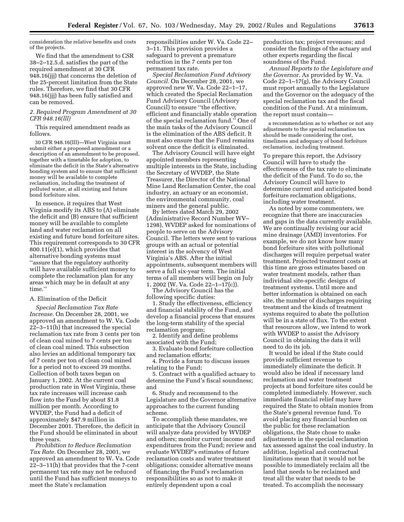consideration the relative benefits and costs of the projects.

We find that the amendment to CSR 38–2–12.5.d. satisfies the part of the required amendment at 30 CFR 948.16(jjj) that concerns the deletion of the 25-percent limitation from the State rules. Therefore, we find that 30 CFR 948.16(jjj) has been fully satisfied and can be removed.

# *2. Required Program Amendment at 30 CFR 948.16(lll)*

This required amendment reads as follows.

30 CFR 948.16(lll)—West Virginia must submit either a proposed amendment or a description of an amendment to be proposed, together with a timetable for adoption, to eliminate the deficit in the State's alternative bonding system and to ensure that sufficient money will be available to complete reclamation, including the treatment of polluted water, at all existing and future bond forfeiture sites.

In essence, it requires that West Virginia modify its ABS to (A) eliminate the deficit and (B) ensure that sufficient money will be available to complete land and water reclamation on all existing and future bond forfeiture sites. This requirement corresponds to 30 CFR 800.11(e)(1), which provides that alternative bonding systems must ''assure that the regulatory authority will have available sufficient money to complete the reclamation plan for any areas which may be in default at any time.''

# A. Elimination of the Deficit

*Special Reclamation Tax Rate Increase.* On December 28, 2001, we approved an amendment to W. Va. Code 22–3–11(h) that increased the special reclamation tax rate from 3 cents per ton of clean coal mined to 7 cents per ton of clean coal mined. This subsection also levies an additional temporary tax of 7 cents per ton of clean coal mined for a period not to exceed 39 months. Collection of both taxes began on January 1, 2002. At the current coal production rate in West Virginia, these tax rate increases will increase cash flow into the Fund by about \$1.8 million per month. According to WVDEP, the Fund had a deficit of approximately \$47.9 million in December 2001. Therefore, the deficit in the Fund should be eliminated in about three years.

*Prohibition to Reduce Reclamation Tax Rate.* On December 28, 2001, we approved an amendment to W. Va. Code 22–3–11(h) that provides that the 7-cent permanent tax rate may not be reduced until the Fund has sufficient moneys to meet the State's reclamation

responsibilities under W. Va. Code 22– 3–11. This provision provides a safeguard to prevent a premature reduction in the 7 cents per ton permanent tax rate.

*Special Reclamation Fund Advisory Council.* On December 28, 2001, we approved new W. Va. Code 22–1–17, which created the Special Reclamation Fund Advisory Council (Advisory Council) to ensure ''the effective, efficient and financially stable operation of the special reclamation fund.'' One of the main tasks of the Advisory Council is the elimination of the ABS deficit. It must also ensure that the Fund remains solvent once the deficit is eliminated.

The Advisory Council will have eight appointed members representing multiple interests in the State, including the Secretary of WVDEP, the State Treasurer, the Director of the National Mine Land Reclamation Center, the coal industry, an actuary or an economist, the environmental community, coal miners and the general public.

By letters dated March 29, 2002 (Administrative Record Number WV– 1298), WVDEP asked for nominations of people to serve on the Advisory Council. The letters were sent to various groups with an actual or potential interest in the solvency of West Virginia's ABS. After the initial appointments, subsequent members will serve a full six-year term. The initial terms of all members will begin on July 1, 2002 (W. Va. Code 22–1–17(c)).

The Advisory Council has the following specific duties:

1. Study the effectiveness, efficiency and financial stability of the Fund, and develop a financial process that ensures the long-term stability of the special reclamation program;

2. Identify and define problems associated with the Fund;

3. Evaluate bond forfeiture collection and reclamation efforts;

4. Provide a forum to discuss issues relating to the Fund;

5. Contract with a qualified actuary to determine the Fund's fiscal soundness; and

6. Study and recommend to the Legislature and the Governor alternative approaches to the current funding scheme.

To accomplish these mandates, we anticipate that the Advisory Council will analyze data provided by WVDEP and others; monitor current income and expenditures from the Fund; review and evaluate WVDEP's estimates of future reclamation costs and water treatment obligations; consider alternative means of financing the Fund's reclamation responsibilities so as not to make it entirely dependent upon a coal

production tax; project revenues; and consider the findings of the actuary and other experts regarding the fiscal soundness of the Fund.

*Annual Reports to the Legislature and the Governor.* As provided by W. Va. Code 22–1–17(g), the Advisory Council must report annually to the Legislature and the Governor on the adequacy of the special reclamation tax and the fiscal condition of the Fund. At a minimum, the report must contain—

a recommendation as to whether or not any adjustments to the special reclamation tax should be made considering the cost, timeliness and adequacy of bond forfeiture reclamation, including treatment.

To prepare this report, the Advisory Council will have to study the effectiveness of the tax rate to eliminate the deficit of the Fund. To do so, the Advisory Council will have to determine current and anticipated bond forfeiture reclamation obligations, including water treatment.

As noted by some commenters, we recognize that there are inaccuracies and gaps in the data currently available. We are continually revising our acid mine drainage (AMD) inventories. For example, we do not know how many bond forfeiture sites with pollutional discharges will require perpetual water treatment. Projected treatment costs at this time are gross estimates based on water treatment models, rather than individual site-specific designs of treatment systems. Until more and better information is obtained on each site, the number of discharges requiring treatment and the kinds of treatment systems required to abate the pollution will be in a state of flux. To the extent that resources allow, we intend to work with WVDEP to assist the Advisory Council in obtaining the data it will need to do its job.

It would be ideal if the State could provide sufficient revenue to immediately eliminate the deficit. It would also be ideal if necessary land reclamation and water treatment projects at bond forfeiture sites could be completed immediately. However, such immediate financial relief may have required the State to obtain monies from the State's general revenue fund. To avoid placing any financial burden on the public for these reclamation obligations, the State chose to make adjustments in the special reclamation tax assessed against the coal industry. In addition, logistical and contractual limitations mean that it would not be possible to immediately reclaim all the land that needs to be reclaimed and treat all the water that needs to be treated. To accomplish the necessary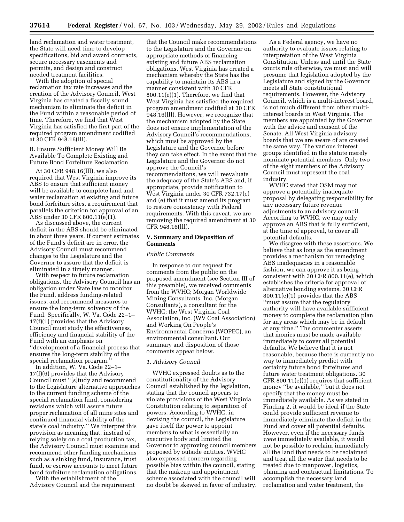land reclamation and water treatment, the State will need time to develop specifications, bid and award contracts, secure necessary easements and permits, and design and construct needed treatment facilities.

With the adoption of special reclamation tax rate increases and the creation of the Advisory Council, West Virginia has created a fiscally sound mechanism to eliminate the deficit in the Fund within a reasonable period of time. Therefore, we find that West Virginia has satisfied the first part of the required program amendment codified at 30 CFR 948.16(lll).

B. Ensure Sufficient Money Will Be Available To Complete Existing and Future Bond Forfeiture Reclamation

At 30 CFR 948.16(lll), we also required that West Virginia improve its ABS to ensure that sufficient money will be available to complete land and water reclamation at existing and future bond forfeiture sites, a requirement that parallels the criterion for approval of an ABS under 30 CFR 800.11(e)(1).

As discussed above, the current deficit in the ABS should be eliminated in about three years. If current estimates of the Fund's deficit are in error, the Advisory Council must recommend changes to the Legislature and the Governor to assure that the deficit is eliminated in a timely manner.

With respect to future reclamation obligations, the Advisory Council has an obligation under State law to monitor the Fund, address funding-related issues, and recommend measures to ensure the long-term solvency of the Fund. Specifically, W. Va. Code 22–1– 17(f)(1) provides that the Advisory Council must study the effectiveness, efficiency and financial stability of the Fund with an emphasis on ''development of a financial process that ensures the long-term stability of the special reclamation program.''

In addition, W. Va. Code 22–1– 17(f)(6) provides that the Advisory Council must ''[s]tudy and recommend to the Legislature alternative approaches to the current funding scheme of the special reclamation fund, considering revisions which will assure future proper reclamation of all mine sites and continued financial viability of the state's coal industry.'' We interpret this provision as meaning that, instead of relying solely on a coal production tax, the Advisory Council must examine and recommend other funding mechanisms such as a sinking fund, insurance, trust fund, or escrow accounts to meet future bond forfeiture reclamation obligations.

With the establishment of the Advisory Council and the requirement

that the Council make recommendations to the Legislature and the Governor on appropriate methods of financing existing and future ABS reclamation obligations, West Virginia has created a mechanism whereby the State has the capability to maintain its ABS in a manner consistent with 30 CFR 800.11(e)(1). Therefore, we find that West Virginia has satisfied the required program amendment codified at 30 CFR 948.16(lll). However, we recognize that the mechanism adopted by the State does not ensure implementation of the Advisory Council's recommendations, which must be approved by the Legislature and the Governor before they can take effect. In the event that the Legislature and the Governor do not approve the Council's recommendations, we will reevaluate the adequacy of the State's ABS and, if appropriate, provide notification to West Virginia under 30 CFR 732.17(c) and (e) that it must amend its program to restore consistency with Federal requirements. With this caveat, we are removing the required amendment at 30 CFR 948.16(lll).

#### **V. Summary and Disposition of Comments**

# *Public Comments*

In response to our request for comments from the public on the proposed amendment (see Section III of this preamble), we received comments from the WVHC; Morgan Worldwide Mining Consultants, Inc. (Morgan Consultants), a consultant for the WVHC; the West Virginia Coal Association, Inc. (WV Coal Association) and Working On People's Environmental Concerns (WOPEC), an environmental consultant. Our summary and disposition of those comments appear below.

# *1. Advisory Council*

WVHC expressed doubts as to the constitutionality of the Advisory Council established by the legislation, stating that the council appears to violate provisions of the West Virginia Constitution relating to separation of powers. According to WVHC, in devising the council, the Legislature gave itself the power to appoint members to what is essentially an executive body and limited the Governor to approving council members proposed by outside entities. WVHC also expressed concern regarding possible bias within the council, stating that the makeup and appointment scheme associated with the council will no doubt be skewed in favor of industry.

As a Federal agency, we have no authority to evaluate issues relating to interpretation of the West Virginia Constitution. Unless and until the State courts rule otherwise, we must and will presume that legislation adopted by the Legislature and signed by the Governor meets all State constitutional requirements. However, the Advisory Council, which is a multi-interest board, is not much different from other multiinterest boards in West Virginia. The members are appointed by the Governor with the advice and consent of the Senate. All West Virginia advisory boards that we are aware of are created the same way. The various interest groups identified in the statute merely nominate potential members. Only two of the eight members of the Advisory Council must represent the coal industry.

WVHC stated that OSM may not approve a potentially inadequate proposal by delegating responsibility for any necessary future revenue adjustments to an advisory council. According to WVHC, we may only approve an ABS that is fully sufficient, at the time of approval, to cover all potential defaults.

We disagree with these assertions. We believe that as long as the amendment provides a mechanism for remedying ABS inadequacies in a reasonable fashion, we can approve it as being consistent with 30 CFR 800.11(e), which establishes the criteria for approval of alternative bonding systems. 30 CFR 800.11(e)(1) provides that the ABS ''must assure that the regulatory authority will have available sufficient money to complete the reclamation plan for any areas which may be in default at any time.'' The commenter asserts that monies must be made available immediately to cover all potential defaults. We believe that it is not reasonable, because there is currently no way to immediately predict with certainty future bond forfeitures and future water treatment obligations. 30 CFR 800.11(e)(1) requires that sufficient money ''be available,'' but it does not specify that the money must be immediately available. As we stated in Finding 2, it would be ideal if the State could provide sufficient revenue to immediately eliminate the deficit in the Fund and cover all potential defaults. However, even if the necessary funds *were* immediately available, it would not be possible to reclaim immediately all the land that needs to be reclaimed and treat all the water that needs to be treated due to manpower, logistics, planning and contractual limitations. To accomplish the necessary land reclamation and water treatment, the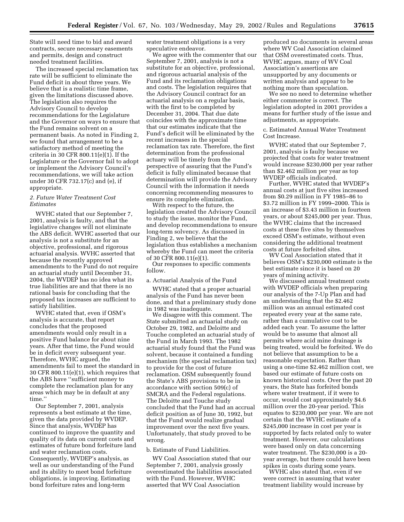State will need time to bid and award contracts, secure necessary easements and permits, design and construct needed treatment facilities.

The increased special reclamation tax rate will be sufficient to eliminate the Fund deficit in about three years. We believe that is a realistic time frame, given the limitations discussed above. The legislation also requires the Advisory Council to develop recommendations for the Legislature and the Governor on ways to ensure that the Fund remains solvent on a permanent basis. As noted in Finding 2, we found that arrangement to be a satisfactory method of meeting the criteria in 30 CFR 800.11(e)(1). If the Legislature or the Governor fail to adopt or implement the Advisory Council's recommendations, we will take action under 30 CFR 732.17(c) and (e), if appropriate.

# *2. Future Water Treatment Cost Estimates*

WVHC stated that our September 7, 2001, analysis is faulty, and that the legislative changes will not eliminate the ABS deficit. WVHC asserted that our analysis is not a substitute for an objective, professional, and rigorous actuarial analysis. WVHC asserted that because the recently approved amendments to the Fund do not require an actuarial study until December 31, 2004, the WVDEP has no idea what its true liabilities are and that there is no rational basis for concluding that the proposed tax increases are sufficient to satisfy liabilities.

WVHC stated that, even if OSM's analysis is accurate, that report concludes that the proposed amendments would only result in a positive Fund balance for about nine years. After that time, the Fund would be in deficit every subsequent year. Therefore, WVHC argued, the amendments fail to meet the standard in 30 CFR 800.11(e)(1), which requires that the ABS have ''sufficient money to complete the reclamation plan for any areas which may be in default at any time.''

Our September 7, 2001, analysis represents a best estimate at the time, given the data provided by WVDEP. Since that analysis, WVDEP has continued to improve the quantity and quality of its data on current costs and estimates of future bond forfeiture land and water reclamation costs. Consequently, WVDEP's analysis, as well as our understanding of the Fund and its ability to meet bond forfeiture obligations, is improving. Estimating bond forfeiture rates and long-term

water treatment obligations is a very speculative endeavor.

We agree with the commenter that our September 7, 2001, analysis is not a substitute for an objective, professional, and rigorous actuarial analysis of the Fund and its reclamation obligations and costs. The legislation requires that the Advisory Council contract for an actuarial analysis on a regular basis, with the first to be completed by December 31, 2004. That due date coincides with the approximate time that our estimates indicate that the Fund's deficit will be eliminated by the recent increases in the special reclamation tax rate. Therefore, the first determination from the professional actuary will be timely from the perspective of assuring that the Fund's deficit is fully eliminated because that determination will provide the Advisory Council with the information it needs concerning recommending measures to ensure its complete elimination.

With respect to the future, the legislation created the Advisory Council to study the issue, monitor the Fund, and develop recommendations to ensure long-term solvency. As discussed in Finding 2, we believe that the legislation thus establishes a mechanism whereby the Fund can meet the criteria of 30 CFR 800.11(e)(1).

Our responses to specific comments follow.

a. Actuarial Analysis of the Fund

WVHC stated that a proper actuarial analysis of the Fund has never been done, and that a preliminary study done in 1982 was inadequate.

We disagree with this comment. The State submitted an actuarial study on October 29, 1982, and Deloitte and Touche completed an actuarial study of the Fund in March 1993. The 1982 actuarial study found that the Fund was solvent, because it contained a funding mechanism (the special reclamation tax) to provide for the cost of future reclamation. OSM subsequently found the State's ABS provisions to be in accordance with section 509(c) of SMCRA and the Federal regulations. The Deloitte and Touche study concluded that the Fund had an accrual deficit position as of June 30, 1992, but that the Fund would realize gradual improvement over the next five years. Unfortunately, that study proved to be wrong.

b. Estimate of Fund Liabilities.

WV Coal Association stated that our September 7, 2001, analysis grossly overestimated the liabilities associated with the Fund. However, WVHC asserted that WV Coal Association

produced no documents in several areas where WV Coal Association claimed that OSM overestimated costs. Thus, WVHC argues, many of WV Coal Association's assertions are unsupported by any documents or written analysis and appear to be nothing more than speculation.

We see no need to determine whether either commenter is correct. The legislation adopted in 2001 provides a means for further study of the issue and adjustments, as appropriate.

c. Estimated Annual Water Treatment Cost Increase.

WVHC stated that our September 7, 2001, analysis is faulty because we projected that costs for water treatment would increase \$230,000 per year rather than \$2.462 million per year as top WVDEP officials indicated.

Further, WVHC stated that WVDEP's annual costs at just five sites increased from \$0.29 million in FY 1985–86 to \$3.72 million in FY 1999–2000. This is an increase of \$3.43 million in fourteen years, or about \$245,000 per year. Thus, the WVHC claims that the increased costs at these five sites by themselves exceed OSM's estimate, without even considering the additional treatment costs at future forfeited sites.

WV Coal Association stated that it believes OSM's \$230,000 estimate is the best estimate since it is based on 20 years of mining activity.

We discussed annual treatment costs with WVDEP officials when preparing our analysis of the 7-Up Plan and had an understanding that the \$2.462 million was an annual estimated cost repeated every year at the same rate, rather than a cumulative cost to be added each year. To assume the latter would be to assume that almost all permits where acid mine drainage is being treated, would be forfeited. We do not believe that assumption to be a reasonable expectation. Rather than using a one-time \$2.462 million cost, we based our estimate of future costs on known historical costs. Over the past 20 years, the State has forfeited bonds where water treatment, if it were to occur, would cost approximately \$4.6 million over the 20-year period. This equates to \$230,000 per year. We are not certain that the WVHC estimate of a \$245,000 increase in cost per year is supported by facts related only to water treatment. However, our calculations were based only on data concerning water treatment. The \$230,000 is a 20 year average, but there could have been spikes in costs during some years.

WVHC also stated that, even if we were correct in assuming that water treatment liability would increase by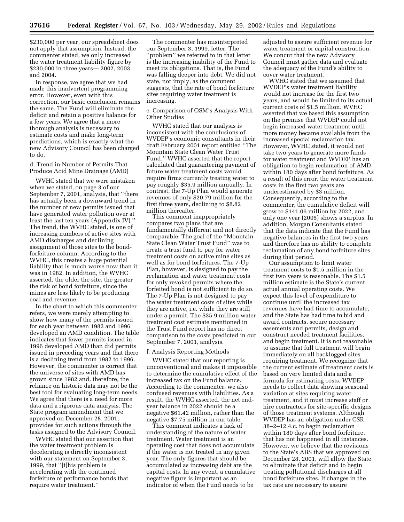\$230,000 per year, our spreadsheet does not apply that assumption. Instead, the commenter stated, we only increased the water treatment liability figure by \$230,000 in three years— 2002, 2003 and 2004.

In response, we agree that we had made this inadvertent programming error. However, even with this correction, our basic conclusion remains the same. The Fund will eliminate the deficit and retain a positive balance for a few years. We agree that a more thorough analysis is necessary to estimate costs and make long-term predictions, which is exactly what the new Advisory Council has been charged to do.

d. Trend in Number of Permits That Produce Acid Mine Drainage (AMD)

WVHC stated that we were mistaken when we stated, on page 3 of our September 7, 2001, analysis, that ''there has actually been a downward trend in the number of new permits issued that have generated water pollution over at least the last ten years (Appendix IV).'' The trend, the WVHC stated, is one of increasing numbers of active sites with AMD discharges and declining assignment of those sites to the bondforfeiture column. According to the WVHC, this creates a huge potential liability that is much worse now than it was in 1982. In addition, the WVHC asserted, the older the site, the greater the risk of bond forfeiture, since the mines are less likely to be producing coal and revenue.

In the chart to which this commenter refers, we were merely attempting to show how many of the permits issued for each year between 1982 and 1996 developed an AMD condition. The table indicates that fewer permits issued in 1996 developed AMD than did permits issued in preceding years and that there is a declining trend from 1982 to 1996. However, the commenter is correct that the universe of sites with AMD has grown since 1982 and, therefore, the reliance on historic data may not be the best tool for evaluating long-term needs. We agree that there is a need for more data and a rigorous data analysis. The State program amendment that we approved on December 28, 2001, provides for such actions through the tasks assigned to the Advisory Council.

WVHC stated that our assertion that the water treatment problem is decelerating is directly inconsistent with our statement on September 3, 1999, that ''[t]his problem is accelerating with the continued forfeiture of performance bonds that require water treatment.''

The commenter has misinterpreted our September 3, 1999, letter. The ''problem'' we referred to in that letter is the increasing inability of the Fund to meet its obligations. That is, the Fund was falling deeper into debt. We did not state, nor imply, as the comment suggests, that the rate of bond forfeiture sites requiring water treatment is increasing.

e. Comparison of OSM's Analysis With Other Studies

WVHC stated that our analysis is inconsistent with the conclusions of WVDEP's economic consultants in their draft February 2001 report entitled ''The Mountain State Clean Water Trust Fund.'' WVHC asserted that the report calculated that guaranteeing payment of future water treatment costs would require firms currently treating water to pay roughly \$35.9 million annually. In contrast, the 7-Up Plan would generate revenues of only \$20.79 million for the first three years, declining to \$8.82 million thereafter.

This comment inappropriately compares two plans that are fundamentally different and not directly comparable. The goal of the ''Mountain State Clean Water Trust Fund'' was to create a trust fund to pay for water treatment costs on active mine sites as well as for bond forfeitures. The 7-Up Plan, however, is designed to pay the reclamation and water treatment costs for only revoked permits where the forfeited bond is not sufficient to do so. The 7-Up Plan is not designed to pay the water treatment costs of sites while they are active, i.e. while they are still under a permit. The \$35.9 million water treatment cost estimate mentioned in the Trust Fund report has no direct comparison to the costs predicted in our September 7, 2001, analysis.

#### f. Analysis Reporting Methods

WVHC stated that our reporting is unconventional and makes it impossible to determine the cumulative effect of the increased tax on the Fund balance. According to the commenter, we also confused revenues with liabilities. As a result, the WVHC asserted, the net endyear balance in 2022 should be a negative \$61.42 million, rather than the negative \$7.75 million in our table.

This comment indicates a lack of understanding of the nature of water treatment. Water treatment is an operating cost that does not accumulate if the water is not treated in any given year. The only figures that should be accumulated as increasing debt are the capital costs. In any event, a cumulative negative figure is important as an indicator of when the Fund needs to be

adjusted to assure sufficient revenue for water treatment or capital construction. We concur that the new Advisory Council must gather data and evaluate the adequacy of the Fund's ability to cover water treatment.

WVHC stated that we assumed that WVDEP's water treatment liability would not increase for the first two years, and would be limited to its actual current costs of \$1.5 million. WVHC asserted that we based this assumption on the premise that WVDEP could not begin increased water treatment until more money became available from the increased special reclamation tax. However, WVHC stated, it would not take two years to generate more funds for water treatment and WVDEP has an obligation to begin reclamation of AMD within 180 days after bond forfeiture. As a result of this error, the water treatment costs in the first two years are underestimated by \$3 million. Consequently, according to the commenter, the cumulative deficit will grow to \$141.06 million by 2022, and only one year (2005) shows a surplus. In addition, Morgan Consultants stated that the data indicate that the Fund has negative balances in the first two years and therefore has no ability to complete reclamation of any bond forfeiture sites during that period.

Our assumption to limit water treatment costs to \$1.5 million in the first two years is reasonable. The \$1.5 million estimate is the State's current, actual annual operating costs. We expect this level of expenditure to continue until the increased tax revenues have had time to accumulate, and the State has had time to bid and award contracts, secure necessary easements and permits, design and construct needed treatment facilities, and begin treatment. It is not reasonable to assume that full treatment will begin immediately on all backlogged sites requiring treatment. We recognize that the current estimate of treatment costs is based on very limited data and a formula for estimating costs. WVDEP needs to collect data showing seasonal variation at sites requiring water treatment, and it must increase staff or hire contractors for site-specific designs of those treatment systems. Although WVDEP has an obligation under CSR 38–2–12.4.c. to begin reclamation within 180 days after bond forfeiture, that has not happened in all instances. However, we believe that the revisions to the State's ABS that we approved on December 28, 2001, will allow the State to eliminate that deficit and to begin treating pollutional discharges at all bond forfeiture sites. If changes in the tax rate are necessary to assure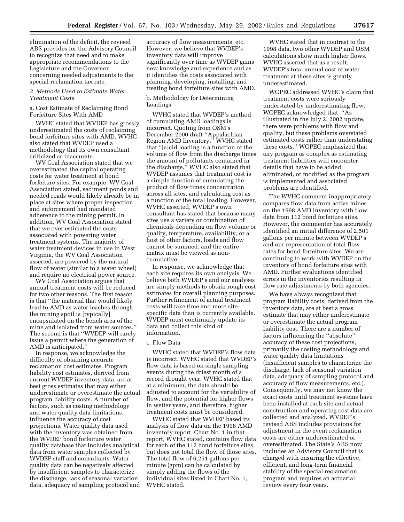elimination of the deficit, the revised ABS provides for the Advisory Council to recognize that need and to make appropriate recommendations to the Legislature and the Governor concerning needed adjustments to the special reclamation tax rate.

#### *3. Methods Used to Estimate Water Treatment Costs*

a. Cost Estimate of Reclaiming Bond Forfeiture Sites With AMD

WVHC stated that WVDEP has grossly underestimated the costs of reclaiming bond forfeiture sites with AMD. WVHC also stated that WVDEP used a methodology that its own consultant criticized as inaccurate.

WV Coal Association stated that we overestimated the capital operating costs for water treatment at bond forfeiture sites. For example, WV Coal Association stated, sediment ponds and needed roads would likely already be in place at sites where proper inspection and enforcement had mandated adherence to the mining permit. In addition, WV Coal Association stated that we over estimated the costs associated with powering water treatment systems. The majority of water treatment devices in use in West Virginia, the WV Coal Association asserted, are powered by the natural flow of water (similar to a water wheel) and require no electrical power source.

WV Coal Association argues that annual treatment costs will be reduced for two other reasons. The first reason is that ''the material that would likely lead to AMD as water leaches through the mining spoil is [typically] encapsulated on the bench area of the mine and isolated from water sources.'' The second is that ''WVDEP will rarely issue a permit where the generation of AMD is anticipated.''

In response, we acknowledge the difficulty of obtaining accurate reclamation cost estimates. Program liability cost estimates, derived from current WVDEP inventory data, are at best gross estimates that may either underestimate or overestimate the actual program liability costs. A number of factors, such as costing methodology and water quality data limitations, influence the accuracy of cost projections. Water quality data used with the inventory was obtained from the WVDEP bond forfeiture water quality database that includes analytical data from water samples collected by WVDEP staff and consultants. Water quality data can be negatively affected by insufficient samples to characterize the discharge, lack of seasonal variation data, adequacy of sampling protocol and

accuracy of flow measurements, etc. However, we believe that WVDEP's inventory data will improve significantly over time as WVDEP gains new knowledge and experience and as it identifies the costs associated with planning, developing, installing, and treating bond forfeiture sites with AMD.

b. Methodology for Determining Loadings

WVHC stated that WVDEP's method of cumulating AMD loadings is incorrect. Quoting from OSM's December 2000 draft ''Appalachian Region AMD Inventory,'' WVHC stated that ''[a]cid loading is a function of the volume of flow from the discharge times the amount of pollutants contained in the discharge.'' WVHC also stated that WVDEP assumes that treatment cost is a simple function of cumulating the product of flow times concentration across all sites, and calculating cost as a function of the total loading. However, WVHC asserted, WVDEP's own consultant has stated that because many sites use a variety or combination of chemicals depending on flow volume or quality, temperature, availability, or a host of other factors, loads and flow cannot be summed, and the entire matrix must be viewed as noncumulative.

In response, we acknowledge that each site requires its own analysis. We believe both WVDEP's and our analyses are simply methods to obtain rough cost estimates for overall planning purposes. Further refinement of actual treatment costs will take time and more sitespecific data than is currently available. WVDEP must continually update its data and collect this kind of information.

#### c. Flow Data

WVHC stated that WVDEP's flow data is incorrect. WVHC stated that WVDEP's flow data is based on single sampling events during the driest month of a record drought year. WVHC stated that at a minimum, the data should be adjusted to account for the variability of flow, and the potential for higher flows in wetter years, and therefore, higher treatment costs must be considered.

WVHC stated that WVDEP based its analysis of flow data on the 1998 AMD inventory report. Chart No. 1 in that report, WVHC stated, contains flow data for each of the 112 bond forfeiture sites, but does not total the flow of those sites. The total flow of 6,251 gallons per minute (gpm) can be calculated by simply adding the flows of the individual sites listed in Chart No. 1, WVHC stated.

WVHC stated that in contrast to the 1998 data, two other WVDEP and OSM calculations show much higher flows. WVHC asserted that as a result, WVDEP's total annual cost of water treatment at these sites is greatly underestimated.

WOPEC addressed WVHC's claim that treatment costs were seriously understated by underestimating flow. WOPEC acknowledged that, ''As illustrated in the July 2, 2002 update, there were problems with flow and quality, but these problems overstated estimated costs rather than understating these costs.'' WOPEC emphasized that any program as complex as estimating treatment liabilities will encounter details that have to be added, eliminated, or modified as the program is implemented and associated problems are identified.

The WVHC comment inappropriately compares flow data from active mines on the 1998 AMD inventory with flow data from 112 bond forfeiture sites. However, the commenter has accurately identified an initial difference of 2,501 gallons per minute between WVDEP's and our representation of total flow rates for bond forfeiture sites. We are continuing to work with WVDEP on the inventory of bond forfeiture sites with AMD. Further evaluations identified errors in the inventories resulting in flow rate adjustments by both agencies.

We have always recognized that program liability costs, derived from the inventory data, are at best a gross estimate that may either underestimate or overestimate the actual program liability cost. There are a number of factors influencing the ''absolute'' accuracy of these cost projections, primarily the costing methodology and water quality data limitations (insufficient samples to characterize the discharge, lack of seasonal variation data, adequacy of sampling protocol and accuracy of flow measurements, etc.). Consequently, we may not know the exact costs until treatment systems have been installed at each site and actual construction and operating cost data are collected and analyzed. WVDEP's revised ABS includes provisions for adjustment in the event reclamation costs are either underestimated or overestimated. The State's ABS now includes an Advisory Council that is charged with ensuring the effective, efficient, and long-term financial stability of the special reclamation program and requires an actuarial review every four years.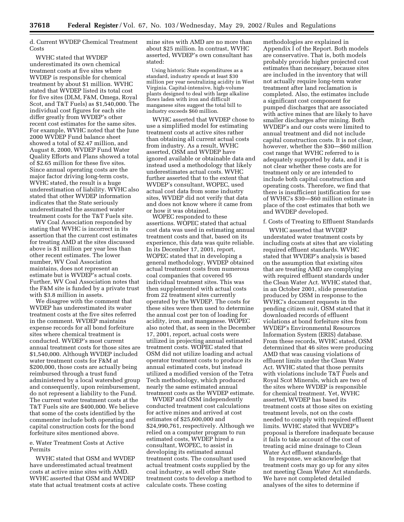d. Current WVDEP Chemical Treatment Costs

WVHC stated that WVDEP underestimated its own chemical treatment costs at five sites where WVDEP is responsible for chemical treatment by about \$1 million. WVHC stated that WVDEP listed its total cost for five sites (DLM, F&M, Omega, Royal Scot, and T&T Fuels) as \$1,540,000. The individual cost figures for each site differ greatly from WVDEP's other recent cost estimates for the same sites. For example, WVHC noted that the June 2000 WVDEP Fund balance sheet showed a total of \$2.47 million, and August 8, 2000, WVDEP Fund Water Quality Efforts and Plans showed a total of \$2.65 million for these five sites. Since annual operating costs are the major factor driving long-term costs, WVHC stated, the result is a huge underestimation of liability. WVHC also stated that other WVDEP information indicates that the State seriously underestimated the assumed water treatment costs for the T&T Fuels site.

WV Coal Association responded by stating that WVHC is incorrect in its assertion that the current cost estimates for treating AMD at the sites discussed above is \$1 million per year less than other recent estimates. The lower number, WV Coal Association maintains, does not represent an estimate but is WVDEP's actual costs. Further, WV Coal Association notes that the F&M site is funded by a private trust with \$3.8 million in assets.

We disagree with the comment that WVDEP has underestimated its water treatment costs at the five sites referred in the comment. WVDEP maintains expense records for all bond forfeiture sites where chemical treatment is conducted. WVDEP's most current annual treatment costs for those sites are \$1,540,000. Although WVDEP included water treatment costs for F&M at \$200,000, those costs are actually being reimbursed through a trust fund administered by a local watershed group and consequently, upon reimbursement, do not represent a liability to the Fund. The current water treatment costs at the T&T Fuels site are \$400,000. We believe that some of the costs identified by the commenter include both operating and capital construction costs for the bond forfeiture sites mentioned above.

# e. Water Treatment Costs at Active Permits

WVHC stated that OSM and WVDEP have underestimated actual treatment costs at active mine sites with AMD. WVHC asserted that OSM and WVDEP state that actual treatment costs at active mine sites with AMD are no more than about \$25 million. In contrast, WVHC asserted, WVDEP's own consultant has stated:

Using historic State expenditures as a standard, industry spends at least \$30 million per year neutralizing acidity in West Virginia. Capital-intensive, high-volume plants designed to deal with large alkaline flows laden with iron and difficult manganese sites suggest the total bill to industry exceeds \$60 million.

WVHC asserted that WVDEP chose to use a simplified model for estimating treatment costs at active sites rather than obtaining all current actual costs from industry. As a result, WVHC asserted, OSM and WVDEP have ignored available or obtainable data and instead used a methodology that likely underestimates actual costs. WVHC further asserted that to the extent that WVDEP's consultant, WOPEC, used actual cost data from some industry sites, WVDEP did not verify that data and does not know where it came from or how it was obtained.

WOPEC responded to these assertions. WOPEC stated that actual cost data was used in estimating annual treatment costs and that, based on its experience, this data was quite reliable. In its December 17, 2001, report, WOPEC stated that in developing a general methodology, WVDEP obtained actual treatment costs from numerous coal companies that covered 95 individual treatment sites. This was then supplemented with actual costs from 22 treatment sites currently operated by the WVDEP. The costs for these sites were then used to determine the annual cost per ton of loading for acidity, iron, and manganese. WOPEC also noted that, as seen in the December 17, 2001, report, actual costs were utilized in projecting annual estimated treatment costs. WOPEC stated that OSM did not utilize loading and actual operator treatment costs to produce its annual estimated costs, but instead utilized a modified version of the Tetra Tech methodology, which produced nearly the same estimated annual treatment costs as the WVDEP estimate.

WVDEP and OSM independently conducted treatment cost calculations for active mines and arrived at cost estimates of \$25,600,000 and \$24,990,761, respectively. Although we relied on a computer program to run estimated costs, WVDEP hired a consultant, WOPEC, to assist in developing its estimated annual treatment costs. The consultant used actual treatment costs supplied by the coal industry, as well other State treatment costs to develop a method to calculate costs. These costing

methodologies are explained in Appendix I of the Report. Both models are conservative. That is, both models probably provide higher projected cost estimates than necessary, because sites are included in the inventory that will not actually require long-term water treatment after land reclamation is completed. Also, the estimates include a significant cost component for pumped discharges that are associated with active mines that are likely to have smaller discharges after mining. Both WVDEP's and our costs were limited to annual treatment and did not include capital construction costs. It is not clear, however, whether the \$30—\$60 million cost range that WVHC referred to is adequately supported by data, and it is not clear whether these costs are for treatment only or are intended to include both capital construction and operating costs. Therefore, we find that there is insufficient justification for use of WVHC's \$30—\$60 million estimate in place of the cost estimates that both we and WVDEP developed.

#### f. Costs of Treating to Effluent Standards

WVHC asserted that WVDEP understated water treatment costs by including costs at sites that are violating required effluent standards. WVHC stated that WVDEP's analysis is based on the assumption that existing sites that are treating AMD are complying with required effluent standards under the Clean Water Act. WVHC stated that, in an October 2001, slide presentation produced by OSM in response to the WVHC's document requests in the pending citizen suit, OSM stated that it downloaded records of effluent violations at bond forfeiture sites from WVDEP's Environmental Resources Information System (ERIS) database. From these records, WVHC stated, OSM determined that 46 sites were producing AMD that was causing violations of effluent limits under the Clean Water Act. WVHC stated that those permits with violations include T&T Fuels and Royal Scot Minerals, which are two of the sites where WVDEP is responsible for chemical treatment. Yet, WVHC asserted, WVDEP has based its treatment costs at those sites on existing treatment levels, not on the costs needed to comply with required effluent limits. WVHC stated that WVDEP's proposal is therefore inadequate because it fails to take account of the cost of treating acid mine drainage to Clean Water Act effluent standards.

In response, we acknowledge that treatment costs may go up for any sites not meeting Clean Water Act standards. We have not completed detailed analyses of the sites to determine if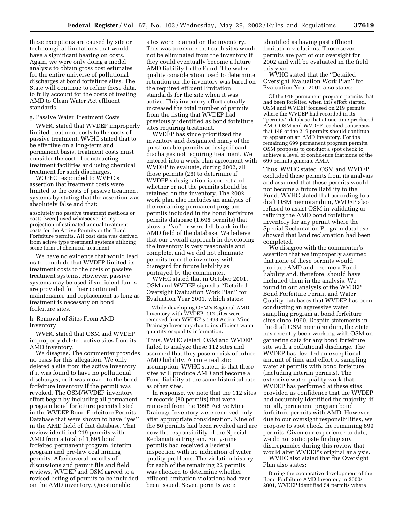these exceptions are caused by site or technological limitations that would have a significant bearing on costs. Again, we were only doing a model analysis to obtain gross cost estimates for the entire universe of pollutional discharges at bond forfeiture sites. The State will continue to refine these data, to fully account for the costs of treating AMD to Clean Water Act effluent standards.

# g. Passive Water Treatment Costs

WVHC stated that WVDEP improperly limited treatment costs to the costs of passive treatment. WVHC stated that to be effective on a long-term and permanent basis, treatment costs must consider the cost of constructing treatment facilities and using chemical treatment for such discharges.

WOPEC responded to WVHC's assertion that treatment costs were limited to the costs of passive treatment systems by stating that the assertion was absolutely false and that:

absolutely no passive treatment methods or costs [were] used whatsoever in my projection of estimated annual treatment costs for the Active Permits or the Bond Forfeiture permits. All cost data was derived from active type treatment systems utilizing some form of chemical treatment.

We have no evidence that would lead us to conclude that WVDEP limited its treatment costs to the costs of passive treatment systems. However, passive systems may be used if sufficient funds are provided for their continued maintenance and replacement as long as treatment is necessary on bond forfeiture sites.

h. Removal of Sites From AMD Inventory

WVHC stated that OSM and WVDEP improperly deleted active sites from its AMD inventory.

We disagree. The commenter provides no basis for this allegation. We only deleted a site from the active inventory if it was found to have no pollutional discharges, or it was moved to the bond forfeiture inventory if the permit was revoked. The OSM/WVDEP inventory effort began by including all permanent program bond forfeiture permits listed in the WVDEP Bond Forfeiture Permits Database that were shown to have ''yes'' in the AMD field of that database. That review identified 219 permits with AMD from a total of 1,695 bond forfeited permanent program, interim program and pre-law coal mining permits. After several months of discussions and permit file and field reviews, WVDEP and OSM agreed to a revised listing of permits to be included on the AMD inventory. Questionable

sites were retained on the inventory. This was to ensure that such sites would not be eliminated from the inventory if they could eventually become a future AMD liability to the Fund. The water quality consideration used to determine retention on the inventory was based on the required effluent limitation standards for the site when it was active. This inventory effort actually increased the total number of permits from the listing that WVDEP had previously identified as bond forfeiture sites requiring treatment.

WVDEP has since prioritized the inventory and designated many of the questionable permits as insignificant discharges not requiring treatment. We entered into a work plan agreement with WVDEP to evaluate, during 2002, all those permits (26) to determine if WVDEP's designation is correct and whether or not the permits should be retained on the inventory. The 2002 work plan also includes an analysis of the remaining permanent program permits included in the bond forfeiture permits database (1,695 permits) that show a ''No'' or were left blank in the AMD field of the database. We believe that our overall approach in developing the inventory is very reasonable and complete, and we did not eliminate permits from the inventory with disregard for future liability as portrayed by the commenter.

WVHC stated that in October 2001, OSM and WVDEP signed a ''Detailed Oversight Evaluation Work Plan'' for Evaluation Year 2001, which states:

While developing OSM's Regional AMD Inventory with WVDEP, 112 sites were removed from WVDEP's 1998 Active Mine Drainage Inventory due to insufficient water quantity or quality information.

Thus, WVHC stated, OSM and WVDEP failed to analyze these 112 sites and assumed that they pose no risk of future AMD liability. A more realistic assumption, WVHC stated, is that these sites will produce AMD and become a Fund liability at the same historical rate as other sites.

In response, we note that the 112 sites or records (80 permits) that were removed from the 1998 Active Mine Drainage Inventory were removed only after appropriate consideration. Nine of the 80 permits had been revoked and are now the responsibility of the Special Reclamation Program. Forty-nine permits had received a Federal inspection with no indication of water quality problems. The violation history for each of the remaining 22 permits was checked to determine whether effluent limitation violations had ever been issued. Seven permits were

identified as having past effluent limitation violations. Those seven permits are part of our oversight for 2002 and will be evaluated in the field this year.

WVHC stated that the ''Detailed Oversight Evaluation Work Plan'' for Evaluation Year 2001 also states:

Of the 918 permanent program permits that had been forfeited when this effort started, OSM and WVDEP focused on 219 permits where the WVDEP had recorded in its ''permits'' database that at one time produced AMD. OSM and WVDEP reached consensus that 148 of the 219 permits should continue to appear on an AMD inventory. For the remaining 699 permanent program permits, OSM proposes to conduct a spot check to achieve a level of confidence that none of the 699 permits generate AMD.

Thus, WVHC stated, OSM and WVDEP excluded these permits from its analysis and assumed that these permits would not become a future liability to the Fund. WVHC stated that according to a draft OSM memorandum, WVDEP also refused to assist OSM in validating or refining the AMD bond forfeiture inventory for any permit where the Special Reclamation Program database showed that land reclamation had been completed.

We disagree with the commenter's assertion that we improperly assumed that none of these permits would produce AMD and become a Fund liability and, therefore, should have included them in the analysis. We found in our analysis of the WVDEP Bond Forfeiture Permit and Water Quality databases that WVDEP has been conducting an aggressive water sampling program at bond forfeiture sites since 1990. Despite statements in the draft OSM memorandum, the State has recently been working with OSM on gathering data for any bond forfeiture site with a pollutional discharge. The WVDEP has devoted an exceptional amount of time and effort to sampling water at permits with bond forfeiture (including interim permits). The extensive water quality work that WVDEP has performed at these sites provided us confidence that the WVDEP had accurately identified the majority, if not all, permanent program bond forfeiture permits with AMD. However, due to our oversight responsibilities, we propose to spot check the remaining 699 permits. Given our experience to date, we do not anticipate finding any discrepancies during this review that would alter WVDEP's original analysis.

WVHC also stated that the Oversight Plan also states:

During the cooperative development of the Bond Forfeiture AMD Inventory in 2000/ 2001, WVDEP identified 54 permits where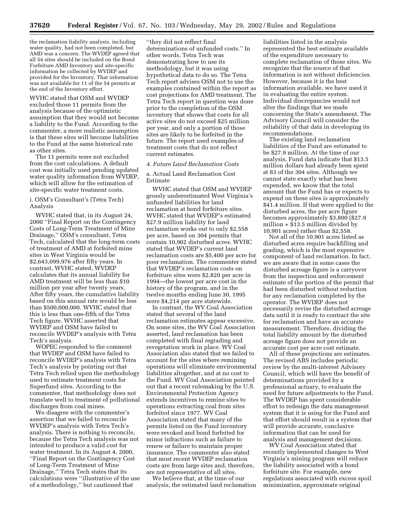the reclamation liability analysis, including water quality, had not been completed, but AMD was a concern. The WVDEP agreed that all 54 sites should be included on the Bond Forfeiture AMD Inventory and site-specific information be collected by WVDEP and provided for the Inventory. That information was not available for 11 of the 54 permits at the end of the Inventory effort.

WVHC stated that OSM and WVDEP excluded those 11 permits from the analysis because of the optimistic assumption that they would not become a liability to the Fund. According to the commenter, a more realistic assumption is that these sites will become liabilities to the Fund at the same historical rate as other sites.

The 11 permits were not excluded from the cost calculations. A default cost was initially used pending updated water quality information from WVDEP, which will allow for the estimation of site-specific water treatment costs.

i. OSM's Consultant's (Tetra Tech) Analysis

WVHC stated that, in its August 24, 2000 ''Final Report on the Contingency Costs of Long-Term Treatment of Mine Drainage,'' OSM's consultant, Tetra Tech, calculated that the long-term costs of treatment of AMD at forfeited mine sites in West Virginia would be \$2,643,099,976 after fifty years. In contrast, WVHC stated, WVDEP calculates that its annual liability for AMD treatment will be less than \$10 million per year after twenty years. After fifty years, the cumulative liability based on this annual rate would be less than \$500,000,000. WVHC stated that this is less than one-fifth of the Tetra Tech figure. WVHC asserted that WVDEP and OSM have failed to reconcile WVDEP's analysis with Tetra Tech's analysis.

WOPEC responded to the comment that WVDEP and OSM have failed to reconcile WVDEP's analysis with Tetra Tech's analysis by pointing out that Tetra Tech relied upon the methodology used to estimate treatment costs for Superfund sites. According to the commenter, that methodology does not translate well to treatment of pollutional discharges from coal mines.

We disagree with the commenter's assertion that we failed to reconcile WVDEP's analysis with Tetra Tech's analysis. There is nothing to reconcile, because the Tetra Tech analysis was not intended to produce a valid cost for water treatment. In its August 4, 2000, ''Final Report on the Contingency Cost of Long-Term Treatment of Mine Drainage,'' Tetra Tech states that its calculations were ''illustrative of the use of a methodology,'' but cautioned that

''they did not reflect final determinations of unfunded costs.'' In other words, Tetra Tech was demonstrating how to use its methodology, but it was using hypothetical data to do so. The Tetra Tech report advises OSM not to use the examples contained within the report as cost projections for AMD treatment. The Tetra Tech report in question was done prior to the completion of the OSM inventory that shows that costs for all active sites do not exceed \$25 million per year, and only a portion of those sites are likely to be forfeited in the future. The report used examples of treatment costs that do not reflect current estimates.

# *4. Future Land Reclamation Costs*

a. Actual Land Reclamation Cost Estimate

WVHC stated that OSM and WVDEP grossly underestimated West Virginia's unfunded liabilities for land reclamation at bond forfeiture sites. WVHC stated that WVDEP's estimated \$27.9 million liability for land reclamation works out to only \$2,558 per acre, based on 304 permits that contain 10,902 disturbed acres. WVHC stated that WVDEP's current land reclamation costs are \$5,400 per acre for poor reclamation. The commenter stated that WVDEP's reclamation costs on forfeiture sites were \$2,820 per acre in 1994—the lowest per acre cost in the history of the program, and in the twelve months ending June 30, 1995 were \$4,214 per acre statewide.

In contrast, the WV Coal Association stated that several of the land reclamation estimates appear excessive. On some sites, the WV Coal Association asserted, land reclamation has been completed with final regrading and revegetation work in place. WV Coal Association also stated that we failed to account for the sites where remining operations will eliminate environmental liabilities altogether, and at no cost to the Fund. WV Coal Association pointed out that a recent rulemaking by the U.S. Environmental Protection Agency extends incentives to remine sites to operations extracting coal from sites forfeited since 1977. WV Coal Association stated that many of the permits listed on the Fund inventory were revoked and bond forfeited for minor infractions such as failure to renew or failure to maintain proper insurance. The commenter also stated that most recent WVDEP reclamation costs are from large sites and, therefore, are not representative of all sites.

We believe that, at the time of our analysis, the estimated land reclamation liabilities listed in the analysis represented the best estimate available of the expenditure necessary to complete reclamation of those sites. We recognize that the source of that information is not without deficiencies. However, because it is the best information available, we have used it in evaluating the entire system. Individual discrepancies would not alter the findings that we made concerning the State's amendment. The Advisory Council will consider the reliability of that data in developing its recommendations.

The existing land reclamation liabilities of the Fund are estimated to be \$27.9 million. At the time of our analysis, Fund data indicate that \$13.5 million dollars had already been spent at 83 of the 304 sites. Although we cannot state exactly what has been expended, we know that the total amount that the Fund has or expects to expend on these sites is approximately \$41.4 million. If that were applied to the disturbed acres, the per acre figure becomes approximately \$3,800 (\$27.9 million  $+$  \$13.5 million divided by 10,901 acres) rather than \$2,558.

Not all of the 10,901 acres listed as disturbed acres require backfilling and grading, which is the most expensive component of land reclamation. In fact, we are aware that in some cases the disturbed acreage figure is a carryover from the inspection and enforcement estimate of the portion of the permit that had been disturbed without reduction for any reclamation completed by the operator. The WVDEP does not necessarily revise the disturbed acreage data until it is ready to contract the site for reclamation and have an accurate measurement. Therefore, dividing the total liability amount by the disturbed acreage figure does not provide an accurate cost per acre cost estimate.

All of these projections are estimates. The revised ABS includes periodic review by the multi-interest Advisory Council, which will have the benefit of determinations provided by a professional actuary, to evaluate the need for future adjustments to the Fund. The WVDEP has spent considerable effort to redesign the data management system that it is using for the Fund and that effort should result in a system that will provide accurate, conclusive information that can be used for analysis and management decisions.

WV Coal Association stated that recently implemented changes to West Virginia's mining program will reduce the liability associated with a bond forfeiture site. For example, new regulations associated with excess spoil minimization, approximate original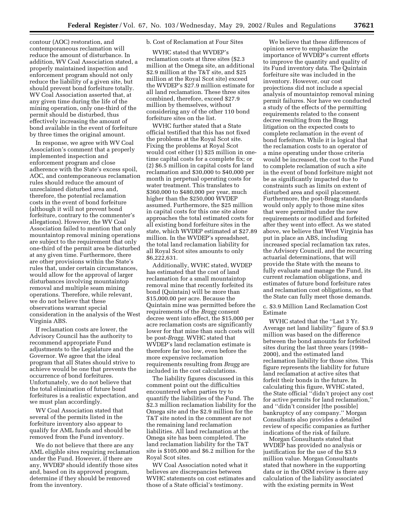contour (AOC) restoration, and contemporaneous reclamation will reduce the amount of disturbance. In addition, WV Coal Association stated, a properly maintained inspection and enforcement program should not only reduce the liability of a given site, but should prevent bond forfeiture totally. WV Coal Association asserted that, at any given time during the life of the mining operation, only one-third of the permit should be disturbed, thus effectively increasing the amount of bond available in the event of forfeiture by three times the original amount.

In response, we agree with WV Coal Association's comment that a properly implemented inspection and enforcement program and close adherence with the State's excess spoil, AOC, and contemporaneous reclamation rules should reduce the amount of unreclaimed disturbed area and, therefore, the potential reclamation costs in the event of bond forfeiture (although it will not prevent bond forfeiture, contrary to the commenter's allegations). However, the WV Coal Association failed to mention that only mountaintop removal mining operations are subject to the requirement that only one-third of the permit area be disturbed at any given time. Furthermore, there are other provisions within the State's rules that, under certain circumstances, would allow for the approval of larger disturbances involving mountaintop removal and multiple seam mining operations. Therefore, while relevant, we do not believe that these observations warrant special consideration in the analysis of the West Virginia ABS.

If reclamation costs are lower, the Advisory Council has the authority to recommend appropriate Fund adjustments to the Legislature and the Governor. We agree that the ideal program that all States should strive to achieve would be one that prevents the occurrence of bond forfeitures. Unfortunately, we do not believe that the total elimination of future bond forfeitures is a realistic expectation, and we must plan accordingly.

WV Coal Association stated that several of the permits listed in the forfeiture inventory also appear to qualify for AML funds and should be removed from the Fund inventory.

We do not believe that there are any AML eligible sites requiring reclamation under the Fund. However, if there are any, WVDEP should identify those sites and, based on its approved program, determine if they should be removed from the inventory.

# b. Cost of Reclamation at Four Sites

WVHC stated that WVDEP's reclamation costs at three sites (\$2.3 million at the Omega site, an additional \$2.9 million at the T&T site, and \$25 million at the Royal Scot site) exceed the WVDEP's \$27.9 million estimate for all land reclamation. These three sites combined, therefore, exceed \$27.9 million by themselves, without considering any of the other 110 bond forfeiture sites on the list.

WVHC further stated that a State official testified that this has not fixed the problems at the Royal Scot site. Fixing the problems at Royal Scot would cost either (1) \$25 million in onetime capital costs for a complete fix; or (2) \$6.5 million in capital costs for land reclamation and \$30,000 to \$40,000 per month in perpetual operating costs for water treatment. This translates to \$360,000 to \$480,000 per year, much higher than the \$250,000 WVDEP assumed. Furthermore, the \$25 million in capital costs for this one site alone approaches the total estimated costs for all existing bond forfeiture sites in the state, which WVDEP estimated at \$27.89 million. In the WVDEP's spreadsheet, the total land reclamation liability for all Royal Scot sites amounts to only \$6,222,631.

Additionally, WVHC stated, WVDEP has estimated that the cost of land reclamation for a small mountaintop removal mine that recently forfeited its bond (Quintain) will be more than \$15,000.00 per acre. Because the Quintain mine was permitted before the requirements of the *Bragg* consent decree went into effect, the \$15,000 per acre reclamation costs are significantly lower for that mine than such costs will be post-*Bragg*. WVHC stated that WVDEP's land reclamation estimate is therefore far too low, even before the more expensive reclamation requirements resulting from *Bragg* are included in the cost calculations.

The liability figures discussed in this comment point out the difficulties encountered when parties try to quantify the liabilities of the Fund. The \$2.3 million reclamation liability for the Omega site and the \$2.9 million for the T&T site noted in the comment are not the remaining land reclamation liabilities. All land reclamation at the Omega site has been completed. The land reclamation liability for the T&T site is \$105,000 and \$6.2 million for the Royal Scot sites.

WV Coal Association noted what it believes are discrepancies between WVHC statements on cost estimates and those of a State official's testimony.

We believe that these differences of opinion serve to emphasize the importance of WVDEP's current efforts to improve the quantity and quality of its Fund inventory data. The Quintain forfeiture site was included in the inventory. However, our cost projections did not include a special analysis of mountaintop removal mining permit failures. Nor have we conducted a study of the effects of the permitting requirements related to the consent decree resulting from the Bragg litigation on the expected costs to complete reclamation in the event of bond forfeiture. While it is logical that the reclamation costs to an operator of a mine operating under those criteria would be increased, the cost to the Fund to complete reclamation of such a site in the event of bond forfeiture might not be as significantly impacted due to constraints such as limits on extent of disturbed area and spoil placement. Furthermore, the post-Bragg standards would only apply to those mine sites that were permitted under the new requirements or modified and forfeited after they went into effect. As we stated above, we believe that West Virginia has put in place an ABS, including increased special reclamation tax rates, the Advisory Council, and the recurring actuarial determinations, that will provide the State with the means to fully evaluate and manage the Fund, its current reclamation obligations, and estimates of future bond forfeiture rates and reclamation cost obligations, so that the State can fully meet those demands.

c. \$3.9 Million Land Reclamation Cost Estimate

WVHC stated that the ''Last 3 Yr. Average net land liability'' figure of \$3.9 million was based on the difference between the bond amounts for forfeited sites during the last three years (1998– 2000), and the estimated land reclamation liability for those sites. This figure represents the liability for future land reclamation at active sites that forfeit their bonds in the future. In calculating this figure, WVHC stated, the State official ''didn't project any cost for active permits for land reclamation,'' and ''didn't consider [the possible] bankruptcy of any company.'' Morgan Consultants also provides a detailed review of specific companies as further indications of the risk of failure.

Morgan Consultants stated that WVDEP has provided no analysis or justification for the use of the \$3.9 million value. Morgan Consultants stated that nowhere in the supporting data or in the OSM review is there any calculation of the liability associated with the existing permits in West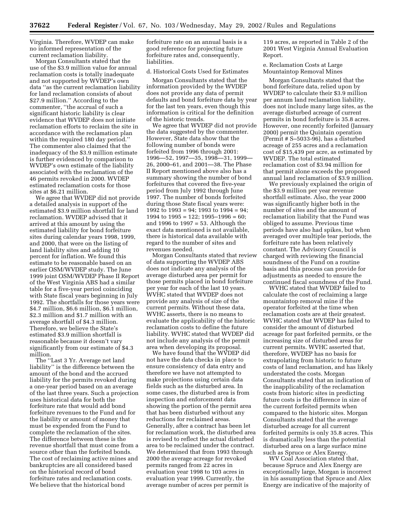Virginia. Therefore, WVDEP can make no informed representation of the current reclamation liability.

Morgan Consultants stated that the use of the \$3.9 million value for annual reclamation costs is totally inadequate and not supported by WVDEP's own data ''as the current reclamation liability for land reclamation consists of about \$27.9 million.'' According to the commenter, ''the accrual of such a significant historic liability is clear evidence that WVDEP does not initiate reclamation efforts to reclaim the site in accordance with the reclamation plan within the required 180 day period.'' The commenter also claimed that the inadequacy of the \$3.9 million estimate is further evidenced by comparison to WVDEP's own estimate of the liability associated with the reclamation of the 46 permits revoked in 2000. WVDEP estimated reclamation costs for those sites at \$6.21 million.

We agree that WVDEP did not provide a detailed analysis in support of the estimated \$3.9 million shortfall for land reclamation. WVDEP advised that it arrived at this amount by using the estimated liability for bond forfeiture sites during calendar years 1998, 1999, and 2000, that were on the listing of land liability sites and adding 10 percent for inflation. We found this estimate to be reasonable based on an earlier OSM/WVDEP study. The June 1999 joint OSM/WVDEP Phase II Report of the West Virginia ABS had a similar table for a five-year period coinciding with State fiscal years beginning in July 1992. The shortfalls for those years were \$4.7 million, \$6.6 million, \$6.1 million, \$2.3 million and \$1.7 million with an average shortfall of \$4.3 million. Therefore, we believe the State's estimated \$3.9 million shortfall is reasonable because it doesn't vary significantly from our estimate of \$4.3 million.

The ''Last 3 Yr. Average net land liability'' is the difference between the amount of the bond and the accrued liability for the permits revoked during a one-year period based on an average of the last three years. Such a projection uses historical data for both the forfeiture rate that would add bond forfeiture revenues to the Fund and for the liability or amount of money that must be expended from the Fund to complete the reclamation of the sites. The difference between these is the revenue shortfall that must come from a source other than the forfeited bonds. The cost of reclaiming active mines and bankruptcies are all considered based on the historical record of bond forfeiture rates and reclamation costs. We believe that the historical bond

forfeiture rate on an annual basis is a good reference for projecting future forfeiture rates and, consequently, liabilities.

d. Historical Costs Used for Estimates

Morgan Consultants stated that the information provided by the WVDEP does not provide any data of permit defaults and bond forfeiture data by year for the last ten years, even though this information is critical for the definition of the historic trends.

We agree that WVDEP did not provide the data suggested by the commenter. However, State data show that the following number of bonds were forfeited from 1996 through 2001: 1996—52, 1997—35, 1998—31, 1999— 26, 2000–61, and 2001—38. The Phase II Report mentioned above also has a summary showing the number of bond forfeitures that covered the five-year period from July 1992 through June 1997. The number of bonds forfeited during those State fiscal years were: 1992 to 1993 = 94; 1993 to 1994 = 94; 1994 to  $1995 = 122$ ;  $1995 - 1996 = 60$ ; and 1996 to 1997 = 53. Although the exact data mentioned is not available, there is historical data available with regard to the number of sites and revenues needed.

Morgan Consultants stated that review of data supporting the WVDEP ABS does not indicate any analysis of the average disturbed area per permit for those permits placed in bond forfeiture per year for each of the last 10 years. WVHC stated that WVDEP does not provide any analysis of size of the current permits. Without these data, WVHC asserts, there is no means to evaluate the applicability of the historic reclamation costs to define the future liability. WVHC stated that WVDEP did not include any analysis of the permit area when developing its proposal.

We have found that the WVDEP did not have the data checks in place to ensure consistency of data entry and therefore we have not attempted to make projections using certain data fields such as the disturbed area. In some cases, the disturbed area is from inspection and enforcement data showing the portion of the permit area that has been disturbed without any reductions for reclaimed areas. Generally, after a contract has been let for reclamation work, the disturbed area is revised to reflect the actual disturbed area to be reclaimed under the contract. We determined that from 1993 through 2000 the average acreage for revoked permits ranged from 22 acres in evaluation year 1998 to 103 acres in evaluation year 1999. Currently, the average number of acres per permit is

119 acres, as reported in Table 2 of the 2001 West Virginia Annual Evaluation Report.

e. Reclamation Costs at Large Mountaintop Removal Mines

Morgan Consultants stated that the bond forfeiture data, relied upon by WVDEP to calculate their \$3.9 million per annum land reclamation liability, does not include many large sites, as the average disturbed acreage of current permits in bond forfeiture is 35.8 acres. However, one recently forfeited (January 2000) permit the Quintain operation (Permit # S–5033-96), has a disturbed acreage of 255 acres and a reclamation cost of \$15,439 per acre, as estimated by WVDEP. The total estimated reclamation cost of \$3.94 million for that permit alone exceeds the proposed annual land reclamation of \$3.9 million.

We previously explained the origin of the \$3.9 million per year revenue shortfall estimate. Also, the year 2000 was significantly higher both in the number of sites and the amount of reclamation liability that the Fund was obliged to assume. Previous time periods have also had spikes, but when averaged over multiple tear periods, the forfeiture rate has been relatively constant. The Advisory Council is charged with reviewing the financial soundness of the Fund on a routine basis and this process can provide for adjustments as needed to ensure the continued fiscal soundness of the Fund.

WVHC stated that WVDEP failed to calculate the cost of reclaiming a large mountaintop removal mine if the operator forfeited at the time when reclamation costs are at their greatest. WVHC stated that WVDEP has failed to consider the amount of disturbed acreage for past forfeited permits, or the increasing size of disturbed areas for current permits. WVHC asserted that, therefore, WVDEP has no basis for extrapolating from historic to future costs of land reclamation, and has likely understated the costs. Morgan Consultants stated that an indication of the inapplicability of the reclamation costs from historic sites in predicting future costs is the difference in size of the current forfeited permits when compared to the historic sites. Morgan Consultants stated that the average disturbed acreage for all current forfeited permits is only 35.8 acres. This is dramatically less than the potential disturbed area on a large surface mine such as Spruce or Alex Energy.

WV Coal Association stated that, because Spruce and Alex Energy are exceptionally large, Morgan is incorrect in his assumption that Spruce and Alex Energy are indicative of the majority of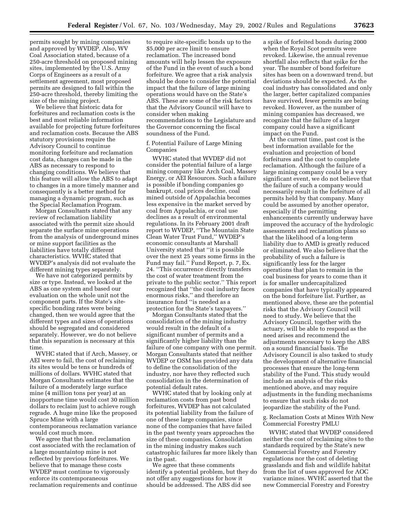permits sought by mining companies and approved by WVDEP. Also, WV Coal Association stated, because of a 250-acre threshold on proposed mining sites, implemented by the U.S. Army Corps of Engineers as a result of a settlement agreement, most proposed permits are designed to fall within the 250-acre threshold, thereby limiting the size of the mining project.

We believe that historic data for forfeitures and reclamation costs is the best and most reliable information available for projecting future forfeitures and reclamation costs. Because the ABS statutory provisions require the Advisory Council to continue monitoring forfeiture and reclamation cost data, changes can be made in the ABS as necessary to respond to changing conditions. We believe that this feature will allow the ABS to adapt to changes in a more timely manner and consequently is a better method for managing a dynamic program, such as the Special Reclamation Program.

Morgan Consultants stated that any review of reclamation liability associated with the permit size should separate the surface mine operations from the analysis of underground mines or mine support facilities as the liabilities have totally different characteristics. WVHC stated that WVDEP's analysis did not evaluate the different mining types separately.

We have not categorized permits by size or type. Instead, we looked at the ABS as one system and based our evaluation on the whole unit not the component parts. If the State's sitespecific bonding rates were being changed, then we would agree that the different types and sizes of operations should be segregated and considered separately. However, we do not believe that this separation is necessary at this time.

WVHC stated that if Arch, Massey, or AEI were to fail, the cost of reclaiming its sites would be tens or hundreds of millions of dollars. WVHC stated that Morgan Consultants estimates that the failure of a moderately large surface mine (4 million tons per year) at an inopportune time would cost 30 million dollars to reclaim just to achieve rough regrade. A huge mine like the proposed Spruce Mine with a large contemporaneous reclamation variance would cost much more.

We agree that the land reclamation cost associated with the reclamation of a large mountaintop mine is not reflected by previous forfeitures. We believe that to manage these costs WVDEP must continue to vigorously enforce its contemporaneous reclamation requirements and continue

to require site-specific bonds up to the \$5,000 per acre limit to ensure reclamation. The increased bond amounts will help lessen the exposure of the Fund in the event of such a bond forfeiture. We agree that a risk analysis should be done to consider the potential impact that the failure of large mining operations would have on the State's ABS. These are some of the risk factors that the Advisory Council will have to consider when making recommendations to the Legislature and the Governor concerning the fiscal soundness of the Fund.

f. Potential Failure of Large Mining Companies

WVHC stated that WVDEP did not consider the potential failure of a large mining company like Arch Coal, Massey Energy, or AEI Resources. Such a failure is possible if bonding companies go bankrupt, coal prices decline, coal mined outside of Appalachia becomes less expensive in the market served by coal from Appalachia, or coal use declines as a result of environmental regulations. In its February 2001 draft report to WVDEP, ''The Mountain State Clean Water Trust Fund,'' WVDEP's economic consultants at Marshall University stated that ''it is possible over the next 25 years some firms in the Fund may fail.'' Fund Report, p. 7, Ex. 24. ''This occurrence directly transfers the cost of water treatment from the private to the public sector.'' This report recognized that ''the coal industry faces enormous risks,'' and therefore an insurance fund ''is needed as a protection for the State's taxpayers.''

Morgan Consultants stated that the consolidation of the mining industry would result in the default of a significant number of permits and a significantly higher liability than the failure of one company with one permit. Morgan Consultants stated that neither WVDEP or OSM has provided any data to define the consolidation of the industry, nor have they reflected such consolidation in the determination of potential default rates.

WVHC stated that by looking only at reclamation costs from past bond forfeitures, WVDEP has not calculated its potential liability from the failure of one of these large companies, since none of the companies that have failed in the past twenty years approaches the size of these companies. Consolidation in the mining industry makes such catastrophic failures far more likely than in the past.

We agree that these comments identify a potential problem, but they do not offer any suggestions for how it should be addressed. The ABS did see

a spike of forfeited bonds during 2000 when the Royal Scot permits were revoked. Likewise, the annual revenue shortfall also reflects that spike for the year. The number of bond forfeiture sites has been on a downward trend, but deviations should be expected. As the coal industry has consolidated and only the larger, better capitalized companies have survived, fewer permits are being revoked. However, as the number of mining companies has decreased, we recognize that the failure of a larger company could have a significant impact on the Fund.

At the current time, past cost is the best information available for the evaluation and projection of bond forfeitures and the cost to complete reclamation. Although the failure of a large mining company could be a very significant event, we do not believe that the failure of such a company would necessarily result in the forfeiture of all permits held by that company. Many could be assumed by another operator, especially if the permitting enhancements currently underway have improved the accuracy of the hydrologic assessments and reclamation plans so that the likelihood of a long-term liability due to AMD is greatly reduced or eliminated. We also believe that the probability of such a failure is significantly less for the larger operations that plan to remain in the coal business for years to come than it is for smaller undercapitalized companies that have typically appeared on the bond forfeiture list. Further, as mentioned above, these are the potential risks that the Advisory Council will need to study. We believe that the Advisory Council, together with the actuary, will be able to respond as the need arises and recommend the adjustments necessary to keep the ABS on a sound financial basis. The Advisory Council is also tasked to study the development of alternative financial processes that ensure the long-term stability of the Fund. This study would include an analysis of the risks mentioned above, and may require adjustments in the funding mechanisms to ensure that such risks do not jeopardize the stability of the Fund.

g. Reclamation Costs at Mines With New Commercial Forestry PMLU

WVHC stated that WVDEP considered neither the cost of reclaiming sites to the standards required by the State's new Commercial Forestry and Forestry regulations nor the cost of deleting grasslands and fish and wildlife habitat from the list of uses approved for AOC variance mines. WVHC asserted that the new Commercial Forestry and Forestry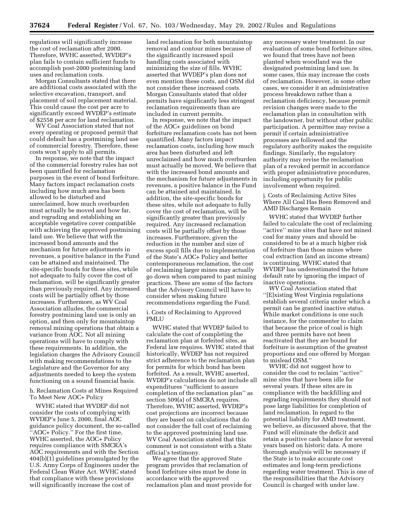regulations will significantly increase the cost of reclamation after 2000. Therefore, WVHC asserted, WVDEP's plan fails to contain sufficient funds to accomplish post-2000 postmining land uses and reclamation costs.

Morgan Consultants stated that there are additional costs associated with the selective excavation, transport, and placement of soil replacement material. This could cause the cost per acre to significantly exceed WVDEP's estimate of \$2558 per acre for land reclamation.

WV Coal Association stated that not every operating or proposed permit that could default has a postmining land use of commercial forestry. Therefore, these costs won't apply to all permits.

In response, we note that the impact of the commercial forestry rules has not been quantified for reclamation purposes in the event of bond forfeiture. Many factors impact reclamation costs including how much area has been allowed to be disturbed and unreclaimed, how much overburden must actually be moved and how far, and regrading and establishing an acceptable vegetative cover compatible with achieving the approved postmining land use. We believe that with the increased bond amounts and the mechanism for future adjustments in revenues, a positive balance in the Fund can be attained and maintained. The site-specific bonds for these sites, while not adequate to fully cover the cost of reclamation, will be significantly greater than previously required. Any increased costs will be partially offset by those increases. Furthermore, as WV Coal Association alludes, the commercial forestry postmining land use is only an option, and then only for mountaintop removal mining operations that obtain a variance from AOC. Not all mining operations will have to comply with these requirements. In addition, the legislation charges the Advisory Council with making recommendations to the Legislature and the Governor for any adjustments needed to keep the system functioning on a sound financial basis.

h. Reclamation Costs at Mines Required To Meet New AOC+ Policy

WVHC stated that WVDEP did not consider the costs of complying with WVDEP's June 5, 2000, final AOC guidance policy document, the so-called ''AOC+ Policy.'' For the first time, WVHC asserted, the AOC+ Policy requires compliance with SMCRA's AOC requirements and with the Section 404(b)(1) guidelines promulgated by the U.S. Army Corps of Engineers under the Federal Clean Water Act. WVHC stated that compliance with these provisions will significantly increase the cost of

land reclamation for both mountaintop removal and contour mines because of the significantly increased spoil handling costs associated with minimizing the size of fills. WVHC asserted that WVDEP's plan does not even mention these costs, and OSM did not consider these increased costs. Morgan Consultants stated that older permits have significantly less stringent reclamation requirements than are included in current permits.

In response, we note that the impact of the AOC+ guidelines on bond forfeiture reclamation costs has not been quantified. Many factors impact reclamation costs, including how much area has been disturbed and left unreclaimed and how much overburden must actually be moved. We believe that with the increased bond amounts and the mechanism for future adjustments in revenues, a positive balance in the Fund can be attained and maintained. In addition, the site-specific bonds for these sites, while not adequate to fully cover the cost of reclamation, will be significantly greater than previously required. Any increased reclamation costs will be partially offset by those increases. Furthermore, given the reduction in the number and size of excess spoil fills due to implementation of the State's AOC+ Policy and better contemporaneous reclamation, the cost of reclaiming larger mines may actually go down when compared to past mining practices. These are some of the factors that the Advisory Council will have to consider when making future recommendations regarding the Fund.

i. Costs of Reclaiming to Approved **PMLU** 

WVHC stated that WVDEP failed to calculate the cost of completing the reclamation plan at forfeited sites, as Federal law requires. WVHC stated that historically, WVDEP has not required strict adherence to the reclamation plan for permits for which bond has been forfeited. As a result, WVHC asserted, WVDEP's calculations do not include all expenditures ''sufficient to assure completion of the reclamation plan'' as section 509(a) of SMCRA requires. Therefore, WVHC asserted, WVDEP's cost projections are incorrect because they are based on calculations that do not consider the full cost of reclaiming to the approved postmining land use. WV Coal Association stated that this comment is not consistent with a State official's testimony.

We agree that the approved State program provides that reclamation of bond forfeiture sites must be done in accordance with the approved reclamation plan and must provide for

any necessary water treatment. In our evaluation of some bond forfeiture sites, we found that trees have not been planted when woodland was the designated postmining land use. In some cases, this may increase the costs of reclamation. However, in some other cases, we consider it an administrative process breakdown rather than a reclamation deficiency, because permit revision changes were made to the reclamation plan in consultation with the landowner, but without other public participation. A permittee may revise a permit if certain administrative processes are followed and the regulatory authority makes the requisite findings. Similarly, the regulatory authority may revise the reclamation plan of a revoked permit in accordance with proper administrative procedures, including opportunity for public involvement when required.

j. Costs of Reclaiming Active Sites Where All Coal Has Been Removed and AMD Discharges Remain

WVHC stated that WVDEP further failed to calculate the cost of reclaiming "active" mine sites that have not mined coal for many years and should be considered to be at a much higher risk of forfeiture than those mines where coal extraction (and an income stream) is continuing. WVHC stated that WVDEP has underestimated the future default rate by ignoring the impact of inactive operations.

WV Coal Association stated that ''[E]xisting West Virginia regulations establish several criteria under which a permit can be granted inactive status. While market conditions is one such instance, for the commenter to claim that because the price of coal is high and three permits have not been reactivated that they are bound for forfeiture is assumption of the greatest proportions and one offered by Morgan to mislead OSM.''

WVHC did not suggest how to consider the cost to reclaim ''active'' mine sites that have been idle for several years. If these sites are in compliance with the backfilling and regrading requirements they should not pose large liabilities for completion of land reclamation. In regard to the potential liability for AMD treatment, we believe, as discussed above, that the Fund will eliminate the deficit and retain a positive cash balance for several years based on historic data. A more thorough analysis will be necessary if the State is to make accurate cost estimates and long-term predictions regarding water treatment. This is one of the responsibilities that the Advisory Council is charged with under law.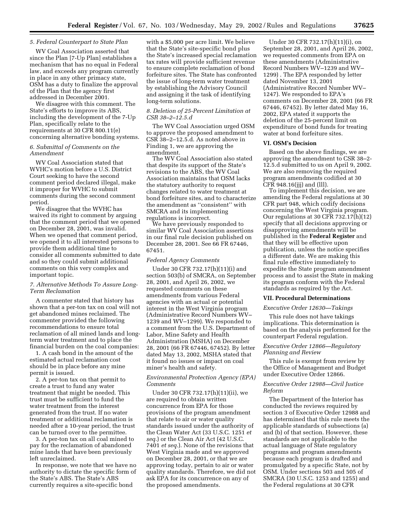# *5. Federal Counterpart to State Plan*

WV Coal Association asserted that since the Plan [7-Up Plan] establishes a mechanism that has no equal in Federal law, and exceeds any program currently in place in any other primacy state, OSM has a duty to finalize the approval of the Plan that the agency first addressed in December 2001.

We disagree with this comment. The State's efforts to improve its ABS, including the development of the 7-Up Plan, specifically relate to the requirements at 30 CFR 800.11(e) concerning alternative bonding systems.

# *6. Submittal of Comments on the Amendment*

WV Coal Association stated that WVHC's motion before a U.S. District Court seeking to have the second comment period declared illegal, make it improper for WVHC to submit comments during the second comment period.

We disagree that the WVHC has waived its right to comment by arguing that the comment period that we opened on December 28, 2001, was invalid. When we opened that comment period, we opened it to all interested persons to provide them additional time to consider all comments submitted to date and so they could submit additional comments on this very complex and important topic.

# *7. Alternative Methods To Assure Long-Term Reclamation*

A commenter stated that history has shown that a per-ton tax on coal will not get abandoned mines reclaimed. The commenter provided the following recommendations to ensure total reclamation of all mined lands and longterm water treatment and to place the financial burden on the coal companies:

1. A cash bond in the amount of the estimated actual reclamation cost should be in place before any mine permit is issued.

2. A per-ton tax on that permit to create a trust to fund any water treatment that might be needed. This trust must be sufficient to fund the water treatment from the interest generated from the trust. If no water treatment or additional reclamation is needed after a 10-year period, the trust can be turned over to the permittee.

3. A per-ton tax on all coal mined to pay for the reclamation of abandoned mine lands that have been previously left unreclaimed.

In response, we note that we have no authority to dictate the specific form of the State's ABS. The State's ABS currently requires a site-specific bond

with a \$5,000 per acre limit. We believe that the State's site-specific bond plus the State's increased special reclamation tax rates will provide sufficient revenue to ensure complete reclamation of bond forfeiture sites. The State has confronted the issue of long-term water treatment by establishing the Advisory Council and assigning it the task of identifying long-term solutions.

# *8. Deletion of 25-Percent Limitation at CSR 38–2–12.5.d*

The WV Coal Association urged OSM to approve the proposed amendment to CSR 38–2–12.5.d. As noted above in Finding 1, we are approving the amendment.

The WV Coal Association also stated that despite its support of the State's revisions to the ABS, the WV Coal Association maintains that OSM lacks the statutory authority to request changes related to water treatment at bond forfeiture sites, and to characterize the amendment as ''consistent'' with SMCRA and its implementing regulations is incorrect.

We have previously responded to similar WV Coal Association assertions in our final rule decision published on December 28, 2001. See 66 FR 67446, 67451.

#### *Federal Agency Comments*

Under 30 CFR 732.17(h)(11)(i) and section 503(b) of SMCRA, on September 28, 2001, and April 26, 2002, we requested comments on these amendments from various Federal agencies with an actual or potential interest in the West Virginia program (Administrative Record Numbers WV– 1239 and WV–1299). We responded to a comment from the U.S. Department of Labor, Mine Safety and Health Administration (MSHA) on December 28, 2001 (66 FR 67446, 67452). By letter dated May 13, 2002, MSHA stated that it found no issues or impact on coal miner's health and safety.

# *Environmental Protection Agency (EPA) Comments*

Under 30 CFR 732.17(h)(11)(ii), we are required to obtain written concurrence from EPA for those provisions of the program amendment that relate to air or water quality standards issued under the authority of the Clean Water Act (33 U.S.C. 1251 *et seq.*) or the Clean Air Act (42 U.S.C. 7401 *et seq.*). None of the revisions that West Virginia made and we approved on December 28, 2001, or that we are approving today, pertain to air or water quality standards. Therefore, we did not ask EPA for its concurrence on any of the proposed amendments.

Under 30 CFR 732.17(h)(11)(i), on September 28, 2001, and April 26, 2002, we requested comments from EPA on these amendments (Administrative Record Numbers WV–1239 and WV– 1299) . The EPA responded by letter dated November 13, 2001 (Administrative Record Number WV– 1247). We responded to EPA's comments on December 28, 2001 (66 FR 67446, 67452). By letter dated May 16, 2002, EPA stated it supports the deletion of the 25-percent limit on expenditure of bond funds for treating water at bond forfeiture sites.

#### **VI. OSM's Decision**

Based on the above findings, we are approving the amendment to CSR 38–2- 12.5.d submitted to us on April 9, 2002. We are also removing the required program amendments codified at 30 CFR 948.16(jjj) and (lll).

To implement this decision, we are amending the Federal regulations at 30 CFR part 948, which codify decisions concerning the West Virginia program. Our regulations at 30 CFR 732.17(h)(12) specify that all decisions approving or disapproving amendments will be published in the **Federal Register** and that they will be effective upon publication, unless the notice specifies a different date. We are making this final rule effective immediately to expedite the State program amendment process and to assist the State in making its program conform with the Federal standards as required by the Act.

# **VII. Procedural Determinations**

#### *Executive Order 12630—Takings*

This rule does not have takings implications. This determination is based on the analysis performed for the counterpart Federal regulation.

#### *Executive Order 12866—Regulatory Planning and Review*

This rule is exempt from review by the Office of Management and Budget under Executive Order 12866.

# *Executive Order 12988—Civil Justice Reform*

The Department of the Interior has conducted the reviews required by section 3 of Executive Order 12988 and has determined that this rule meets the applicable standards of subsections (a) and (b) of that section. However, these standards are not applicable to the actual language of State regulatory programs and program amendments because each program is drafted and promulgated by a specific State, not by OSM. Under sections 503 and 505 of SMCRA (30 U.S.C. 1253 and 1255) and the Federal regulations at 30 CFR